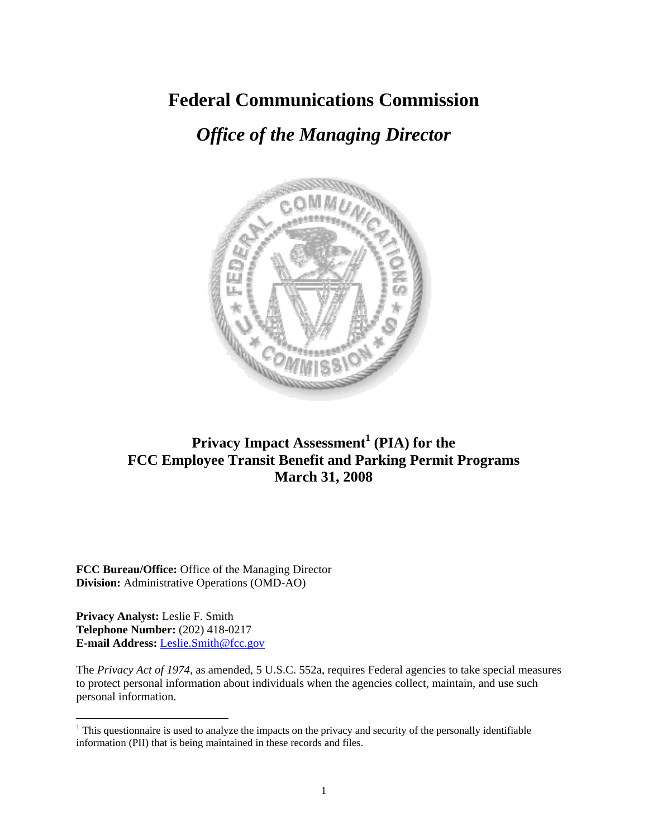# **Federal Communications Commission**

# *Office of the Managing Director*



# **Privacy Impact Assessment<sup>1</sup> (PIA) for the FCC Employee Transit Benefit and Parking Permit Programs March 31, 2008**

**FCC Bureau/Office:** Office of the Managing Director **Division:** Administrative Operations (OMD-AO)

**Privacy Analyst:** Leslie F. Smith **Telephone Number:** (202) 418-0217 **E-mail Address:** Leslie.Smith@fcc.gov

 $\overline{a}$ 

The *Privacy Act of 1974*, as amended, 5 U.S.C. 552a, requires Federal agencies to take special measures to protect personal information about individuals when the agencies collect, maintain, and use such personal information.

 $1$ <sup>1</sup> This questionnaire is used to analyze the impacts on the privacy and security of the personally identifiable information (PII) that is being maintained in these records and files.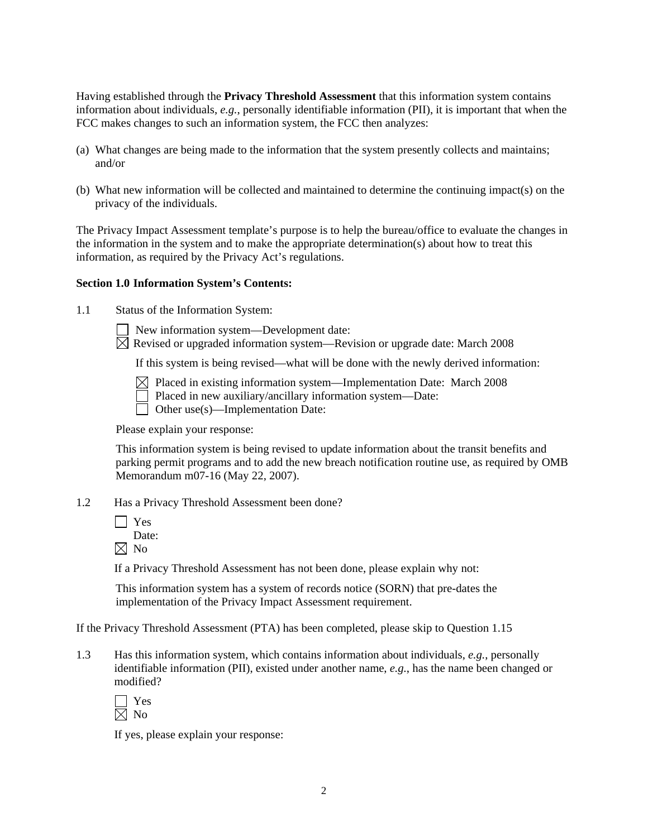Having established through the **Privacy Threshold Assessment** that this information system contains information about individuals, *e.g.*, personally identifiable information (PII), it is important that when the FCC makes changes to such an information system, the FCC then analyzes:

- (a) What changes are being made to the information that the system presently collects and maintains; and/or
- (b) What new information will be collected and maintained to determine the continuing impact(s) on the privacy of the individuals.

The Privacy Impact Assessment template's purpose is to help the bureau/office to evaluate the changes in the information in the system and to make the appropriate determination(s) about how to treat this information, as required by the Privacy Act's regulations.

#### **Section 1.0 Information System's Contents:**

- 1.1 Status of the Information System:
	- New information system—Development date:
	- $\overline{\boxtimes}$  Revised or upgraded information system—Revision or upgrade date: March 2008

If this system is being revised—what will be done with the newly derived information:

- $\boxtimes$  Placed in existing information system—Implementation Date: March 2008
	- Placed in new auxiliary/ancillary information system—Date:
- Other use(s)—Implementation Date:

Please explain your response:

This information system is being revised to update information about the transit benefits and parking permit programs and to add the new breach notification routine use, as required by OMB Memorandum m07-16 (May 22, 2007).

- 1.2 Has a Privacy Threshold Assessment been done?
	- $\Box$  Yes

Date:

 $\boxtimes$  No

If a Privacy Threshold Assessment has not been done, please explain why not:

 This information system has a system of records notice (SORN) that pre-dates the implementation of the Privacy Impact Assessment requirement.

If the Privacy Threshold Assessment (PTA) has been completed, please skip to Question 1.15

1.3 Has this information system, which contains information about individuals, *e.g.*, personally identifiable information (PII), existed under another name, *e.g.*, has the name been changed or modified?

 Yes  $\boxtimes$  No

If yes, please explain your response: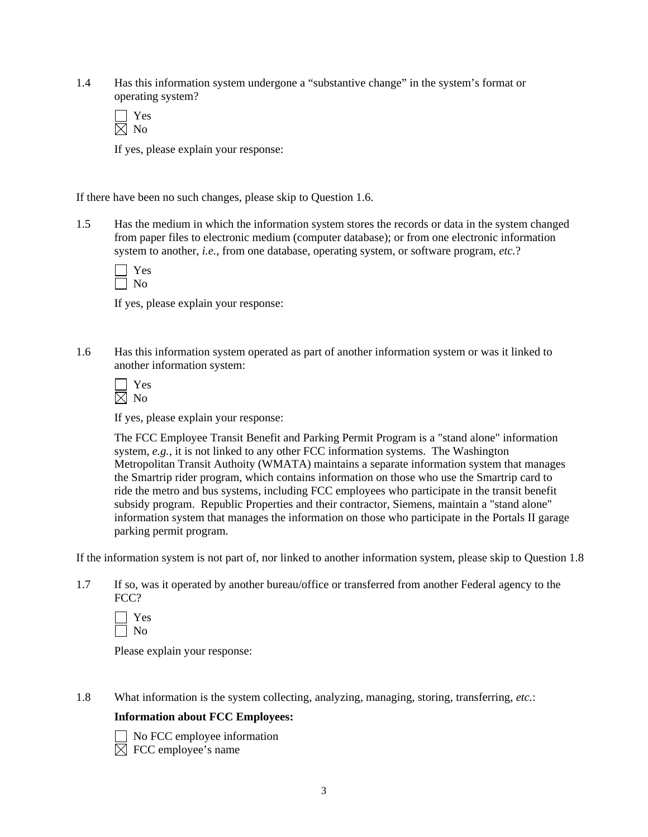1.4 Has this information system undergone a "substantive change" in the system's format or operating system?

If yes, please explain your response:

If there have been no such changes, please skip to Question 1.6.

1.5 Has the medium in which the information system stores the records or data in the system changed from paper files to electronic medium (computer database); or from one electronic information system to another, *i.e.*, from one database, operating system, or software program, *etc.*?

If yes, please explain your response:

1.6 Has this information system operated as part of another information system or was it linked to another information system:

| - |
|---|
|   |

If yes, please explain your response:

The FCC Employee Transit Benefit and Parking Permit Program is a "stand alone" information system, *e.g.*, it is not linked to any other FCC information systems. The Washington Metropolitan Transit Authoity (WMATA) maintains a separate information system that manages the Smartrip rider program, which contains information on those who use the Smartrip card to ride the metro and bus systems, including FCC employees who participate in the transit benefit subsidy program. Republic Properties and their contractor, Siemens, maintain a "stand alone" information system that manages the information on those who participate in the Portals II garage parking permit program.

If the information system is not part of, nor linked to another information system, please skip to Question 1.8

1.7 If so, was it operated by another bureau/office or transferred from another Federal agency to the FCC?

Please explain your response:

1.8 What information is the system collecting, analyzing, managing, storing, transferring, *etc.*:

#### **Information about FCC Employees:**



 No FCC employee information  $\overline{\boxtimes}$  FCC employee's name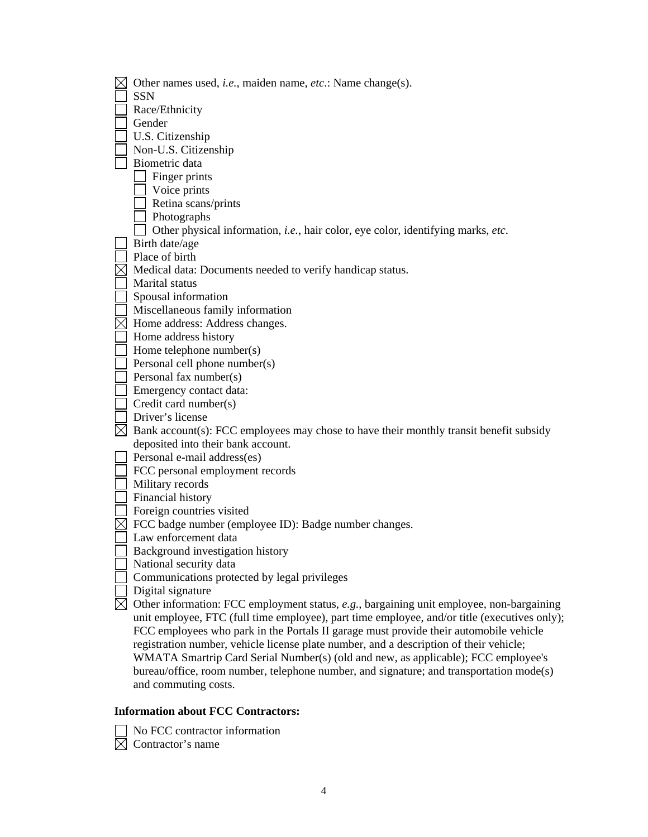| Other names used, <i>i.e.</i> , maiden name, <i>etc.</i> : Name change(s).                         |
|----------------------------------------------------------------------------------------------------|
| <b>SSN</b>                                                                                         |
| Race/Ethnicity                                                                                     |
| Gender                                                                                             |
| U.S. Citizenship                                                                                   |
| Non-U.S. Citizenship                                                                               |
| Biometric data                                                                                     |
| Finger prints                                                                                      |
| Voice prints                                                                                       |
| Retina scans/prints                                                                                |
| Photographs                                                                                        |
| Other physical information, i.e., hair color, eye color, identifying marks, etc.                   |
| Birth date/age                                                                                     |
| Place of birth                                                                                     |
| Medical data: Documents needed to verify handicap status.                                          |
| Marital status                                                                                     |
| Spousal information                                                                                |
| Miscellaneous family information                                                                   |
| $\boxtimes$ Home address: Address changes.                                                         |
| Home address history                                                                               |
| Home telephone number(s)                                                                           |
| Personal cell phone number(s)                                                                      |
| Personal fax number(s)                                                                             |
| Emergency contact data:                                                                            |
| Credit card number(s)                                                                              |
| Driver's license                                                                                   |
| $\boxtimes$ Bank account(s): FCC employees may chose to have their monthly transit benefit subsidy |
| deposited into their bank account.                                                                 |
| Personal e-mail address(es)                                                                        |
| FCC personal employment records                                                                    |
| Military records                                                                                   |
| Financial history                                                                                  |
| Foreign countries visited                                                                          |
| FCC badge number (employee ID): Badge number changes.                                              |
| Law enforcement data                                                                               |
| Background investigation history                                                                   |
| National security data                                                                             |
| Communications protected by legal privileges                                                       |
| Digital signature                                                                                  |
| Other information: FCC employment status, e.g., bargaining unit employee, non-bargaining           |
| unit employee, FTC (full time employee), part time employee, and/or title (executives only);       |
| FCC employees who park in the Portals II garage must provide their automobile vehicle              |
| registration number, vehicle license plate number, and a description of their vehicle;             |
| WMATA Smartrip Card Serial Number(s) (old and new, as applicable); FCC employee's                  |
| bureau/office, room number, telephone number, and signature; and transportation mode(s)            |
| and commuting costs.                                                                               |

## **Information about FCC Contractors:**

 No FCC contractor information Contractor's name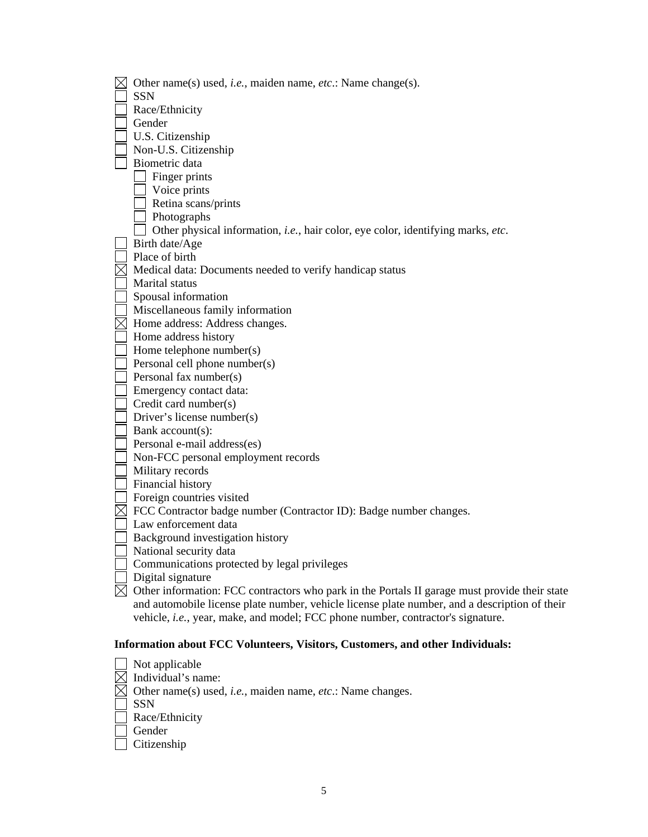| $\boxtimes$ | Other name(s) used, <i>i.e.</i> , maiden name, <i>etc.</i> : Name change(s).                              |
|-------------|-----------------------------------------------------------------------------------------------------------|
|             | <b>SSN</b>                                                                                                |
|             | Race/Ethnicity                                                                                            |
|             | Gender                                                                                                    |
|             | U.S. Citizenship                                                                                          |
|             | Non-U.S. Citizenship                                                                                      |
|             | Biometric data                                                                                            |
|             | Finger prints                                                                                             |
|             | Voice prints                                                                                              |
|             | Retina scans/prints                                                                                       |
|             | Photographs                                                                                               |
|             | Other physical information, i.e., hair color, eye color, identifying marks, etc.                          |
|             | Birth date/Age                                                                                            |
|             | Place of birth                                                                                            |
|             | Medical data: Documents needed to verify handicap status                                                  |
|             | Marital status                                                                                            |
|             | Spousal information                                                                                       |
|             | Miscellaneous family information                                                                          |
|             | $\boxtimes$ Home address: Address changes.                                                                |
|             | Home address history                                                                                      |
|             | Home telephone number(s)                                                                                  |
|             | Personal cell phone number(s)                                                                             |
|             | Personal fax number(s)                                                                                    |
|             | Emergency contact data:                                                                                   |
|             | Credit card number(s)                                                                                     |
|             | Driver's license number(s)                                                                                |
|             | Bank account(s):                                                                                          |
|             | Personal e-mail address(es)                                                                               |
|             | Non-FCC personal employment records                                                                       |
|             | Military records                                                                                          |
|             | Financial history                                                                                         |
|             | Foreign countries visited                                                                                 |
| $\boxtimes$ | FCC Contractor badge number (Contractor ID): Badge number changes.                                        |
|             | Law enforcement data                                                                                      |
|             | Background investigation history                                                                          |
|             | National security data                                                                                    |
|             | Communications protected by legal privileges                                                              |
|             | Digital signature                                                                                         |
|             | $\boxtimes$ Other information: FCC contractors who park in the Portals II garage must provide their state |
|             | and automobile license plate number, vehicle license plate number, and a description of their             |
|             | vehicle, i.e., year, make, and model; FCC phone number, contractor's signature.                           |
|             |                                                                                                           |

## **Information about FCC Volunteers, Visitors, Customers, and other Individuals:**

| Not applicable                                                                         |
|----------------------------------------------------------------------------------------|
| Individual's name:                                                                     |
| $\boxtimes$ Other name(s) used, <i>i.e.</i> , maiden name, <i>etc.</i> : Name changes. |
| <b>SSN</b>                                                                             |
| Race/Ethnicity                                                                         |
| Gender                                                                                 |
| Citizenship                                                                            |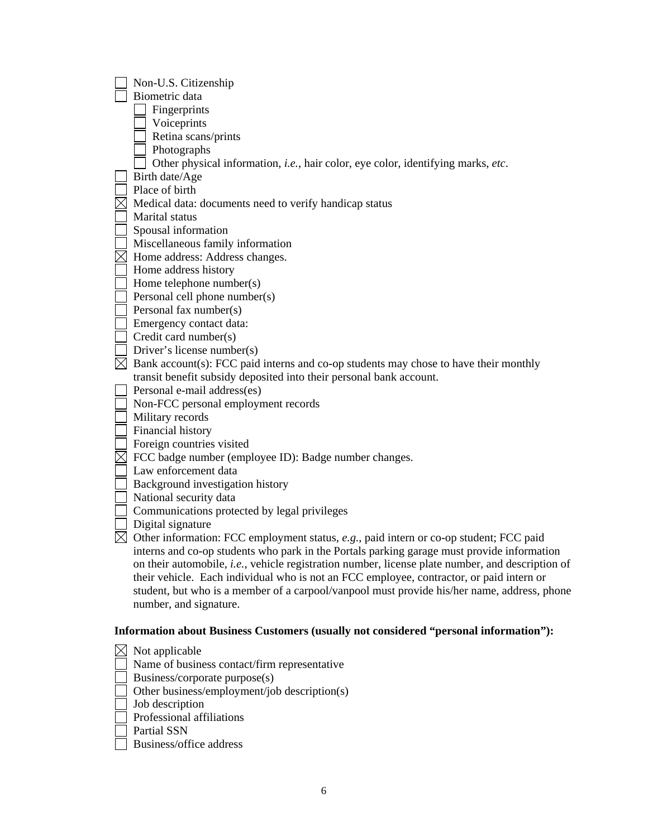| Non-U.S. Citizenship                                                                             |
|--------------------------------------------------------------------------------------------------|
| Biometric data                                                                                   |
| Fingerprints                                                                                     |
| Voiceprints                                                                                      |
| Retina scans/prints                                                                              |
| Photographs                                                                                      |
| Other physical information, <i>i.e.</i> , hair color, eye color, identifying marks, etc.         |
| Birth date/Age                                                                                   |
| Place of birth                                                                                   |
| Medical data: documents need to verify handicap status                                           |
| Marital status                                                                                   |
| Spousal information                                                                              |
| Miscellaneous family information                                                                 |
| Home address: Address changes.                                                                   |
| Home address history                                                                             |
| Home telephone number(s)                                                                         |
| Personal cell phone number(s)                                                                    |
| Personal fax number(s)                                                                           |
| Emergency contact data:                                                                          |
| Credit card number(s)                                                                            |
| Driver's license number(s)                                                                       |
| Bank account(s): FCC paid interns and co-op students may chose to have their monthly             |
| transit benefit subsidy deposited into their personal bank account.                              |
| Personal e-mail address(es)                                                                      |
| Non-FCC personal employment records                                                              |
| Military records                                                                                 |
| Financial history                                                                                |
| Foreign countries visited                                                                        |
| FCC badge number (employee ID): Badge number changes.                                            |
| Law enforcement data                                                                             |
| Background investigation history                                                                 |
| National security data                                                                           |
| Communications protected by legal privileges                                                     |
| Digital signature                                                                                |
| Other information: FCC employment status, e.g., paid intern or co-op student; FCC paid           |
| interns and co-op students who park in the Portals parking garage must provide information       |
| on their automobile, i.e., vehicle registration number, license plate number, and description of |
| their vehicle. Each individual who is not an FCC employee, contractor, or paid intern or         |
| student, but who is a member of a carpool/vanpool must provide his/her name, address, phone      |
| number, and signature.                                                                           |
|                                                                                                  |
| Information about Business Customers (usually not considered "personal information"):            |
| $\boxtimes$ Not applicable                                                                       |

- Name of business contact/firm representative
- Business/corporate purpose(s)
- Other business/employment/job description(s)
- Job description
- $\Box$  Professional affiliations
- $\overline{\Box}$  Partial SSN
- Business/office address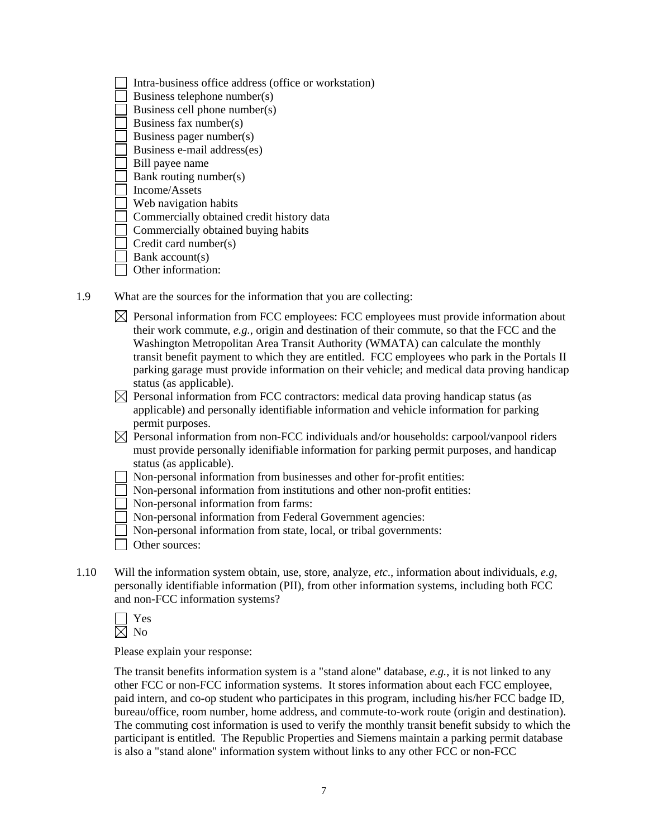| Intra-business office address (office or workstation) |
|-------------------------------------------------------|
| Business telephone number(s)                          |
| Business cell phone number(s)                         |
| Business fax number(s)                                |
| Business pager number(s)                              |
| Business e-mail address(es)                           |
| Bill payee name                                       |
| Bank routing number(s)                                |
| Income/Assets                                         |
| Web navigation habits                                 |
| Commercially obtained credit history data             |
| Commercially obtained buying habits                   |
| Credit card number(s)                                 |
| Bank account(s)                                       |
| Other information:                                    |
|                                                       |

- 1.9 What are the sources for the information that you are collecting:
	- $\boxtimes$  Personal information from FCC employees: FCC employees must provide information about their work commute, *e.g.*, origin and destination of their commute, so that the FCC and the Washington Metropolitan Area Transit Authority (WMATA) can calculate the monthly transit benefit payment to which they are entitled. FCC employees who park in the Portals II parking garage must provide information on their vehicle; and medical data proving handicap status (as applicable).
	- $\boxtimes$  Personal information from FCC contractors: medical data proving handicap status (as applicable) and personally identifiable information and vehicle information for parking permit purposes.
	- $\boxtimes$  Personal information from non-FCC individuals and/or households: carpool/vanpool riders must provide personally idenifiable information for parking permit purposes, and handicap status (as applicable).
	- Non-personal information from businesses and other for-profit entities:
	- Non-personal information from institutions and other non-profit entities:
	- Non-personal information from farms:
	- Non-personal information from Federal Government agencies:
	- Non-personal information from state, local, or tribal governments:
	- Other sources:
- 1.10 Will the information system obtain, use, store, analyze, *etc*., information about individuals, *e.g*, personally identifiable information (PII), from other information systems, including both FCC and non-FCC information systems?

| c |
|---|
|   |

Please explain your response:

The transit benefits information system is a "stand alone" database, *e.g.*, it is not linked to any other FCC or non-FCC information systems. It stores information about each FCC employee, paid intern, and co-op student who participates in this program, including his/her FCC badge ID, bureau/office, room number, home address, and commute-to-work route (origin and destination). The commuting cost information is used to verify the monthly transit benefit subsidy to which the participant is entitled. The Republic Properties and Siemens maintain a parking permit database is also a "stand alone" information system without links to any other FCC or non-FCC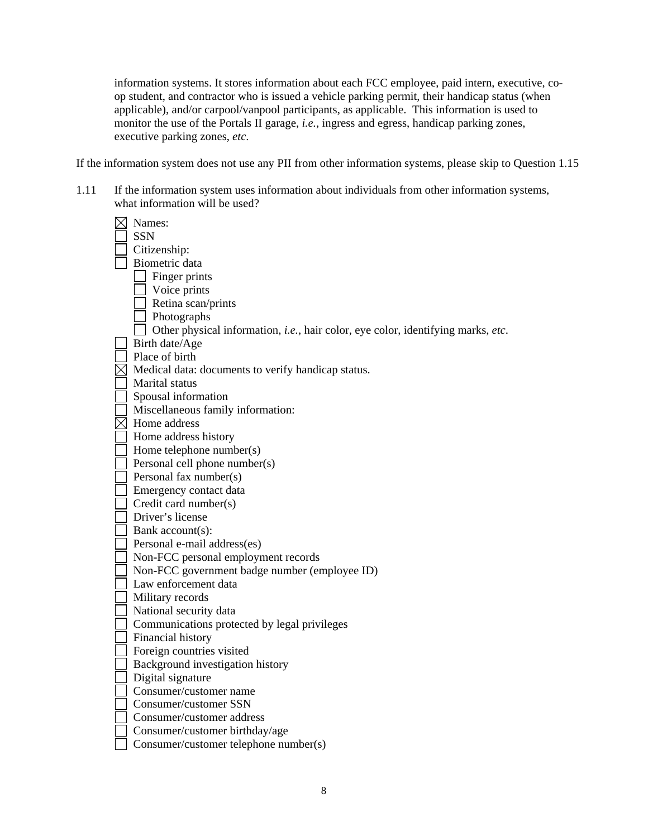information systems. It stores information about each FCC employee, paid intern, executive, coop student, and contractor who is issued a vehicle parking permit, their handicap status (when applicable), and/or carpool/vanpool participants, as applicable. This information is used to monitor the use of the Portals II garage, *i.e.*, ingress and egress, handicap parking zones, executive parking zones, *etc*.

If the information system does not use any PII from other information systems, please skip to Question 1.15

1.11 If the information system uses information about individuals from other information systems, what information will be used?

| Names:                                                                                   |
|------------------------------------------------------------------------------------------|
| <b>SSN</b>                                                                               |
| Citizenship:                                                                             |
| Biometric data                                                                           |
| Finger prints                                                                            |
| Voice prints                                                                             |
| Retina scan/prints                                                                       |
| Photographs                                                                              |
| Other physical information, <i>i.e.</i> , hair color, eye color, identifying marks, etc. |
| Birth date/Age                                                                           |
| Place of birth                                                                           |
| Medical data: documents to verify handicap status.                                       |
| Marital status                                                                           |
| Spousal information                                                                      |
| Miscellaneous family information:                                                        |
| Home address                                                                             |
| Home address history                                                                     |
| Home telephone number(s)                                                                 |
| Personal cell phone number(s)                                                            |
| Personal fax number(s)                                                                   |
| Emergency contact data                                                                   |
| Credit card number(s)                                                                    |
| Driver's license                                                                         |
| Bank account(s):                                                                         |
| Personal e-mail address(es)                                                              |
| Non-FCC personal employment records                                                      |
| Non-FCC government badge number (employee ID)                                            |
| Law enforcement data                                                                     |
| Military records                                                                         |
| National security data                                                                   |
| Communications protected by legal privileges                                             |
| Financial history                                                                        |
| Foreign countries visited                                                                |
| Background investigation history                                                         |
| Digital signature                                                                        |
| Consumer/customer name                                                                   |
| Consumer/customer SSN                                                                    |
| Consumer/customer address                                                                |
| Consumer/customer birthday/age                                                           |
| Consumer/customer telephone number(s)                                                    |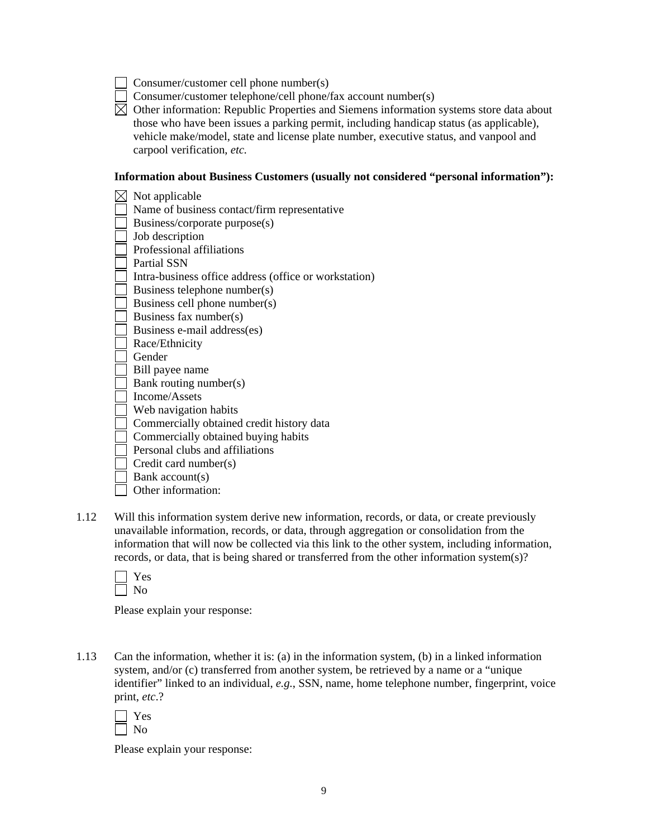- Consumer/customer cell phone number(s)
- Consumer/customer telephone/cell phone/fax account number(s)
- $\boxtimes$  Other information: Republic Properties and Siemens information systems store data about those who have been issues a parking permit, including handicap status (as applicable), vehicle make/model, state and license plate number, executive status, and vanpool and carpool verification, *etc.*

#### **Information about Business Customers (usually not considered "personal information"):**

- $\boxtimes$  Not applicable Name of business contact/firm representative Business/corporate purpose(s) Job description Professional affiliations Partial SSN Intra-business office address (office or workstation) Business telephone number(s) Business cell phone number(s) Business fax number(s) Business e-mail address(es) Race/Ethnicity Gender Bill payee name Bank routing number(s) Income/Assets Web navigation habits Commercially obtained credit history data Commercially obtained buying habits Personal clubs and affiliations Credit card number(s) Bank account(s) Other information:
- 1.12 Will this information system derive new information, records, or data, or create previously unavailable information, records, or data, through aggregation or consolidation from the information that will now be collected via this link to the other system, including information, records, or data, that is being shared or transferred from the other information system(s)?

Please explain your response:

1.13 Can the information, whether it is: (a) in the information system, (b) in a linked information system, and/or (c) transferred from another system, be retrieved by a name or a "unique identifier" linked to an individual, *e.g.*, SSN, name, home telephone number, fingerprint, voice print, *etc*.?

| ۳ |
|---|
|   |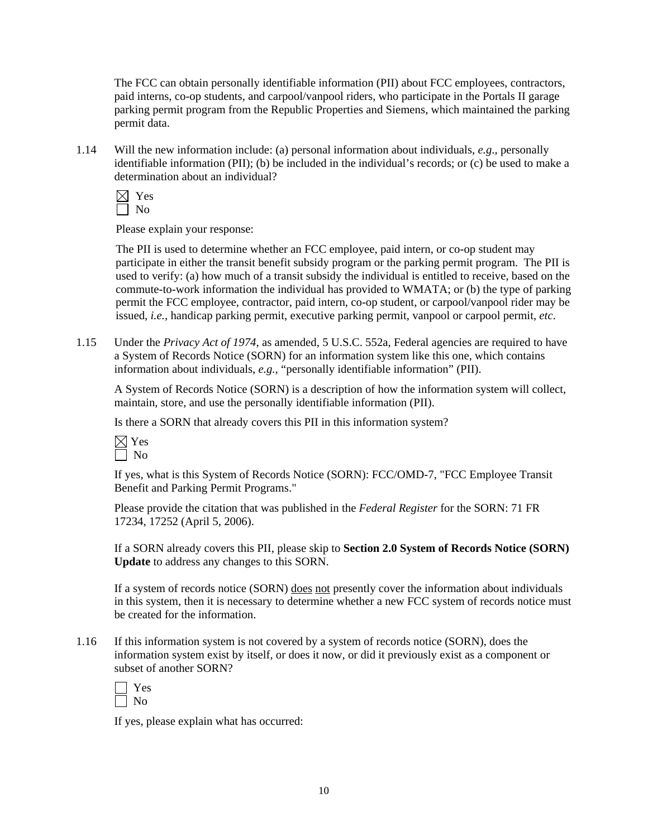The FCC can obtain personally identifiable information (PII) about FCC employees, contractors, paid interns, co-op students, and carpool/vanpool riders, who participate in the Portals II garage parking permit program from the Republic Properties and Siemens, which maintained the parking permit data.

1.14 Will the new information include: (a) personal information about individuals, *e.g*., personally identifiable information (PII); (b) be included in the individual's records; or (c) be used to make a determination about an individual?

Please explain your response:

The PII is used to determine whether an FCC employee, paid intern, or co-op student may participate in either the transit benefit subsidy program or the parking permit program. The PII is used to verify: (a) how much of a transit subsidy the individual is entitled to receive, based on the commute-to-work information the individual has provided to WMATA; or (b) the type of parking permit the FCC employee, contractor, paid intern, co-op student, or carpool/vanpool rider may be issued, *i.e.*, handicap parking permit, executive parking permit, vanpool or carpool permit, *etc*.

1.15 Under the *Privacy Act of 1974*, as amended, 5 U.S.C. 552a, Federal agencies are required to have a System of Records Notice (SORN) for an information system like this one, which contains information about individuals, *e.g.*, "personally identifiable information" (PII).

A System of Records Notice (SORN) is a description of how the information system will collect, maintain, store, and use the personally identifiable information (PII).

Is there a SORN that already covers this PII in this information system?



If yes, what is this System of Records Notice (SORN): FCC/OMD-7, "FCC Employee Transit Benefit and Parking Permit Programs."

Please provide the citation that was published in the *Federal Register* for the SORN: 71 FR 17234, 17252 (April 5, 2006).

If a SORN already covers this PII, please skip to **Section 2.0 System of Records Notice (SORN) Update** to address any changes to this SORN.

If a system of records notice (SORN) does not presently cover the information about individuals in this system, then it is necessary to determine whether a new FCC system of records notice must be created for the information.

1.16 If this information system is not covered by a system of records notice (SORN), does the information system exist by itself, or does it now, or did it previously exist as a component or subset of another SORN?

| ٣ |
|---|
|   |

If yes, please explain what has occurred: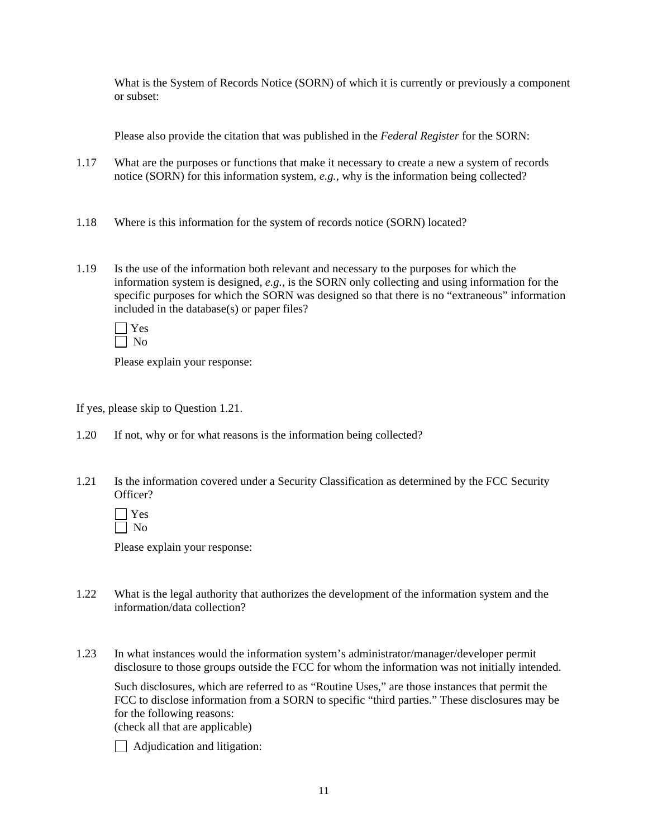What is the System of Records Notice (SORN) of which it is currently or previously a component or subset:

Please also provide the citation that was published in the *Federal Register* for the SORN:

- 1.17 What are the purposes or functions that make it necessary to create a new a system of records notice (SORN) for this information system, *e.g.*, why is the information being collected?
- 1.18 Where is this information for the system of records notice (SORN) located?
- 1.19 Is the use of the information both relevant and necessary to the purposes for which the information system is designed, *e.g.*, is the SORN only collecting and using information for the specific purposes for which the SORN was designed so that there is no "extraneous" information included in the database(s) or paper files?

Please explain your response:

If yes, please skip to Question 1.21.

- 1.20 If not, why or for what reasons is the information being collected?
- 1.21 Is the information covered under a Security Classification as determined by the FCC Security Officer?

 $\Box$  Yes  $\Box$  No

Please explain your response:

- 1.22 What is the legal authority that authorizes the development of the information system and the information/data collection?
- 1.23 In what instances would the information system's administrator/manager/developer permit disclosure to those groups outside the FCC for whom the information was not initially intended.

 Such disclosures, which are referred to as "Routine Uses," are those instances that permit the FCC to disclose information from a SORN to specific "third parties." These disclosures may be for the following reasons:

(check all that are applicable)

Adjudication and litigation: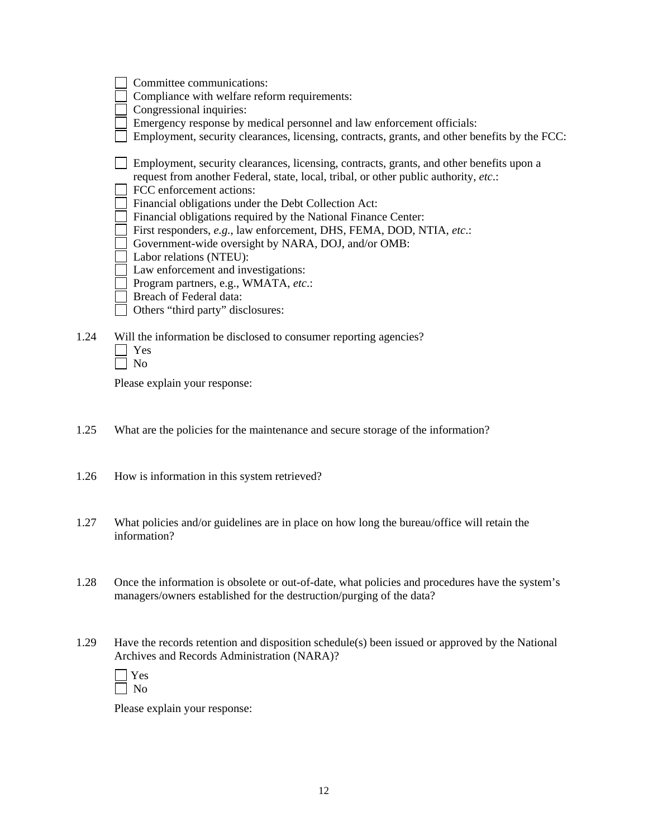|      | Committee communications:                                                                                                                                                        |
|------|----------------------------------------------------------------------------------------------------------------------------------------------------------------------------------|
|      | Compliance with welfare reform requirements:                                                                                                                                     |
|      | Congressional inquiries:                                                                                                                                                         |
|      | Emergency response by medical personnel and law enforcement officials:                                                                                                           |
|      | Employment, security clearances, licensing, contracts, grants, and other benefits by the FCC:                                                                                    |
|      | Employment, security clearances, licensing, contracts, grants, and other benefits upon a<br>request from another Federal, state, local, tribal, or other public authority, etc.: |
|      | FCC enforcement actions:                                                                                                                                                         |
|      | Financial obligations under the Debt Collection Act:                                                                                                                             |
|      | Financial obligations required by the National Finance Center:                                                                                                                   |
|      | First responders, e.g., law enforcement, DHS, FEMA, DOD, NTIA, etc.:                                                                                                             |
|      | Government-wide oversight by NARA, DOJ, and/or OMB:                                                                                                                              |
|      | Labor relations (NTEU):                                                                                                                                                          |
|      | Law enforcement and investigations:                                                                                                                                              |
|      | Program partners, e.g., WMATA, etc.:                                                                                                                                             |
|      | Breach of Federal data:                                                                                                                                                          |
|      | Others "third party" disclosures:                                                                                                                                                |
| 1.24 | Will the information be disclosed to consumer reporting agencies?<br>Yes                                                                                                         |

| ×<br>×. |
|---------|
|---------|

Please explain your response:

- 1.25 What are the policies for the maintenance and secure storage of the information?
- 1.26 How is information in this system retrieved?
- 1.27 What policies and/or guidelines are in place on how long the bureau/office will retain the information?
- 1.28 Once the information is obsolete or out-of-date, what policies and procedures have the system's managers/owners established for the destruction/purging of the data?
- 1.29 Have the records retention and disposition schedule(s) been issued or approved by the National Archives and Records Administration (NARA)?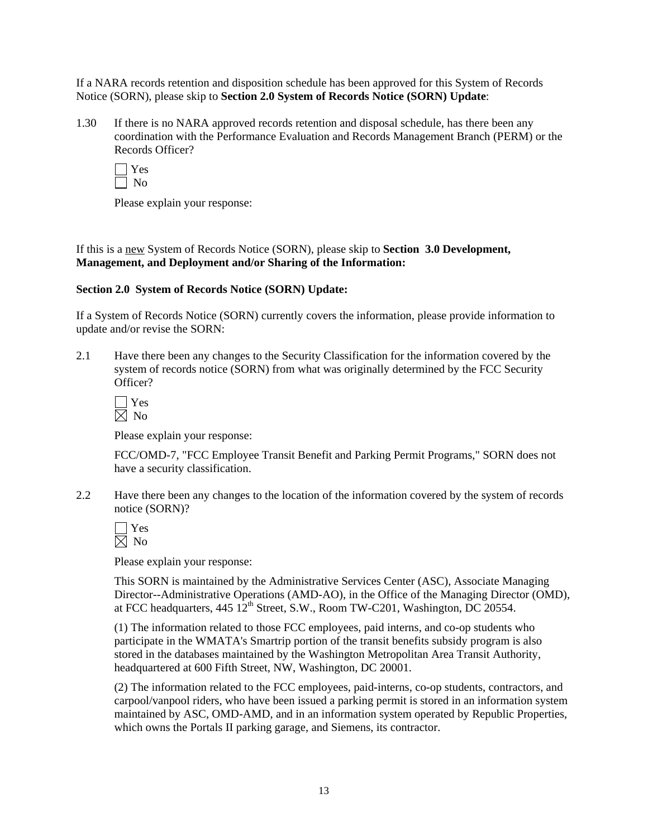If a NARA records retention and disposition schedule has been approved for this System of Records Notice (SORN), please skip to **Section 2.0 System of Records Notice (SORN) Update**:

1.30 If there is no NARA approved records retention and disposal schedule, has there been any coordination with the Performance Evaluation and Records Management Branch (PERM) or the Records Officer?

Please explain your response:

If this is a new System of Records Notice (SORN), please skip to **Section 3.0 Development, Management, and Deployment and/or Sharing of the Information:** 

#### **Section 2.0 System of Records Notice (SORN) Update:**

If a System of Records Notice (SORN) currently covers the information, please provide information to update and/or revise the SORN:

2.1 Have there been any changes to the Security Classification for the information covered by the system of records notice (SORN) from what was originally determined by the FCC Security Officer?

 Yes  $\boxtimes$  No

Please explain your response:

 FCC/OMD-7, "FCC Employee Transit Benefit and Parking Permit Programs," SORN does not have a security classification.

2.2 Have there been any changes to the location of the information covered by the system of records notice (SORN)?

Please explain your response:

 This SORN is maintained by the Administrative Services Center (ASC), Associate Managing Director--Administrative Operations (AMD-AO), in the Office of the Managing Director (OMD), at FCC headquarters,  $445 \overline{12}^{\text{th}}$  Street, S.W., Room TW-C201, Washington, DC 20554.

(1) The information related to those FCC employees, paid interns, and co-op students who participate in the WMATA's Smartrip portion of the transit benefits subsidy program is also stored in the databases maintained by the Washington Metropolitan Area Transit Authority, headquartered at 600 Fifth Street, NW, Washington, DC 20001.

(2) The information related to the FCC employees, paid-interns, co-op students, contractors, and carpool/vanpool riders, who have been issued a parking permit is stored in an information system maintained by ASC, OMD-AMD, and in an information system operated by Republic Properties, which owns the Portals II parking garage, and Siemens, its contractor.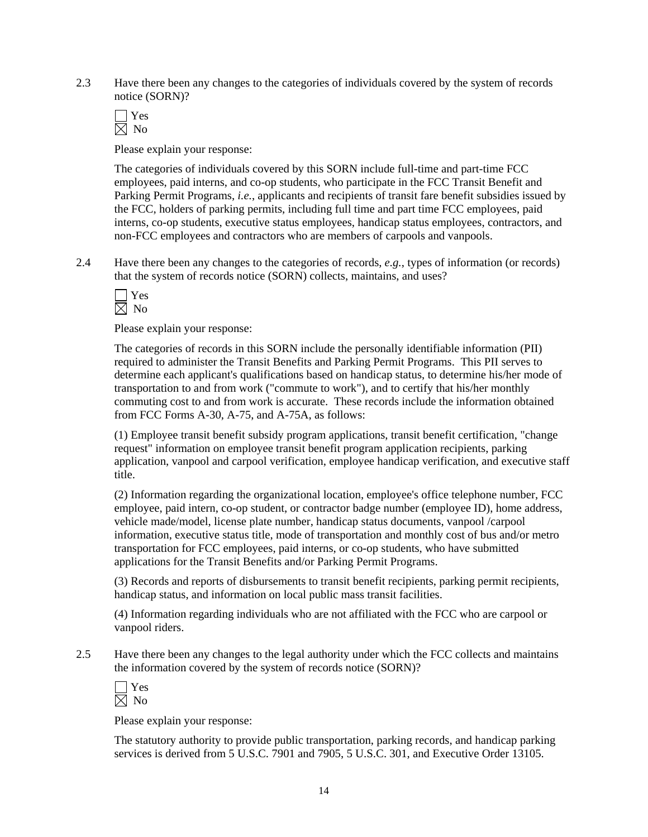- 2.3 Have there been any changes to the categories of individuals covered by the system of records notice (SORN)?
	- Yes  $\overline{\boxtimes}$  No

Please explain your response:

 The categories of individuals covered by this SORN include full-time and part-time FCC employees, paid interns, and co-op students, who participate in the FCC Transit Benefit and Parking Permit Programs, *i.e.*, applicants and recipients of transit fare benefit subsidies issued by the FCC, holders of parking permits, including full time and part time FCC employees, paid interns, co-op students, executive status employees, handicap status employees, contractors, and non-FCC employees and contractors who are members of carpools and vanpools.

2.4 Have there been any changes to the categories of records, *e.g.*, types of information (or records) that the system of records notice (SORN) collects, maintains, and uses?



Please explain your response:

 The categories of records in this SORN include the personally identifiable information (PII) required to administer the Transit Benefits and Parking Permit Programs. This PII serves to determine each applicant's qualifications based on handicap status, to determine his/her mode of transportation to and from work ("commute to work"), and to certify that his/her monthly commuting cost to and from work is accurate. These records include the information obtained from FCC Forms A-30, A-75, and A-75A, as follows:

(1) Employee transit benefit subsidy program applications, transit benefit certification, "change request" information on employee transit benefit program application recipients, parking application, vanpool and carpool verification, employee handicap verification, and executive staff title.

(2) Information regarding the organizational location, employee's office telephone number, FCC employee, paid intern, co-op student, or contractor badge number (employee ID), home address, vehicle made/model, license plate number, handicap status documents, vanpool /carpool information, executive status title, mode of transportation and monthly cost of bus and/or metro transportation for FCC employees, paid interns, or co-op students, who have submitted applications for the Transit Benefits and/or Parking Permit Programs.

(3) Records and reports of disbursements to transit benefit recipients, parking permit recipients, handicap status, and information on local public mass transit facilities.

(4) Information regarding individuals who are not affiliated with the FCC who are carpool or vanpool riders.

2.5 Have there been any changes to the legal authority under which the FCC collects and maintains the information covered by the system of records notice (SORN)?

Please explain your response:

 The statutory authority to provide public transportation, parking records, and handicap parking services is derived from 5 U.S.C. 7901 and 7905, 5 U.S.C. 301, and Executive Order 13105.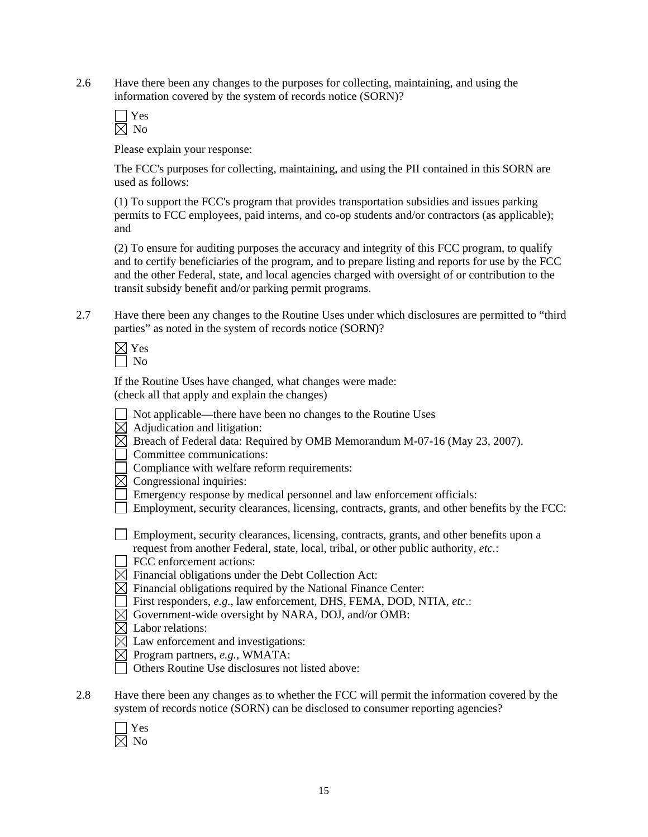2.6 Have there been any changes to the purposes for collecting, maintaining, and using the information covered by the system of records notice (SORN)?

 Yes  $\overline{\boxtimes}$  No

Please explain your response:

The FCC's purposes for collecting, maintaining, and using the PII contained in this SORN are used as follows:

(1) To support the FCC's program that provides transportation subsidies and issues parking permits to FCC employees, paid interns, and co-op students and/or contractors (as applicable); and

(2) To ensure for auditing purposes the accuracy and integrity of this FCC program, to qualify and to certify beneficiaries of the program, and to prepare listing and reports for use by the FCC and the other Federal, state, and local agencies charged with oversight of or contribution to the transit subsidy benefit and/or parking permit programs.

2.7 Have there been any changes to the Routine Uses under which disclosures are permitted to "third parties" as noted in the system of records notice (SORN)?

 If the Routine Uses have changed, what changes were made: (check all that apply and explain the changes)

- Not applicable—there have been no changes to the Routine Uses
- $\boxtimes$  Adjudication and litigation:
- $\boxtimes$  Breach of Federal data: Required by OMB Memorandum M-07-16 (May 23, 2007).
- Committee communications:
- Compliance with welfare reform requirements:
- $\boxtimes$  Congressional inquiries:
	- Emergency response by medical personnel and law enforcement officials:
- $\Box$  Employment, security clearances, licensing, contracts, grants, and other benefits by the FCC:

 Employment, security clearances, licensing, contracts, grants, and other benefits upon a request from another Federal, state, local, tribal, or other public authority, *etc.*:

FCC enforcement actions:

- $\boxtimes$  Financial obligations under the Debt Collection Act:
- $\overline{\boxtimes}$  Financial obligations required by the National Finance Center:
- First responders, *e.g.*, law enforcement, DHS, FEMA, DOD, NTIA, *etc*.:
- $\boxtimes$  Government-wide oversight by NARA, DOJ, and/or OMB:
- $\boxtimes$  Labor relations:
- $\boxtimes$  Law enforcement and investigations:
- Program partners, *e.g.*, WMATA:
	- Others Routine Use disclosures not listed above:
- 2.8 Have there been any changes as to whether the FCC will permit the information covered by the system of records notice (SORN) can be disclosed to consumer reporting agencies?
	- Yes  $\boxtimes$  No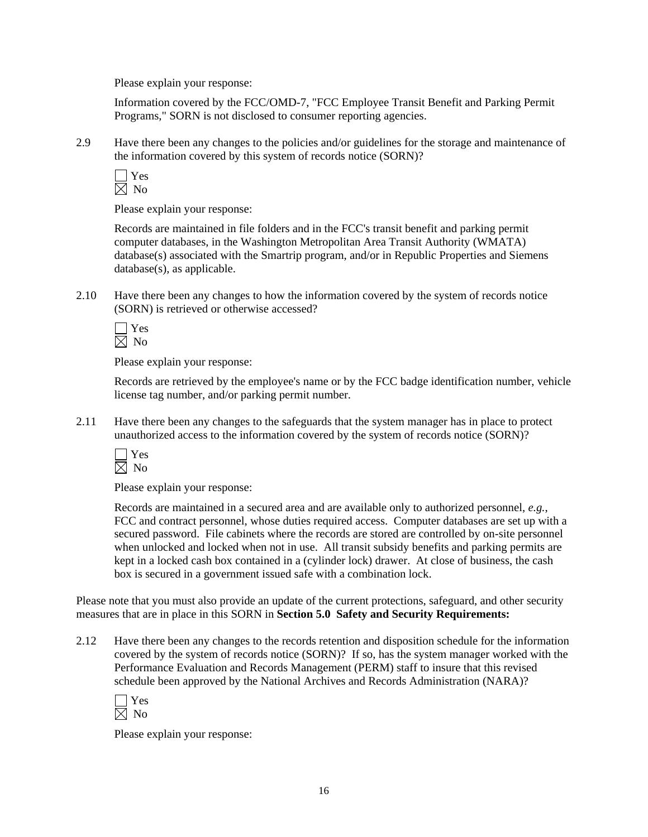Please explain your response:

Information covered by the FCC/OMD-7, "FCC Employee Transit Benefit and Parking Permit Programs," SORN is not disclosed to consumer reporting agencies.

2.9 Have there been any changes to the policies and/or guidelines for the storage and maintenance of the information covered by this system of records notice (SORN)?

 Yes  $\boxtimes$  No

Please explain your response:

 Records are maintained in file folders and in the FCC's transit benefit and parking permit computer databases, in the Washington Metropolitan Area Transit Authority (WMATA) database(s) associated with the Smartrip program, and/or in Republic Properties and Siemens database(s), as applicable.

2.10 Have there been any changes to how the information covered by the system of records notice (SORN) is retrieved or otherwise accessed?



Please explain your response:

 Records are retrieved by the employee's name or by the FCC badge identification number, vehicle license tag number, and/or parking permit number.

2.11 Have there been any changes to the safeguards that the system manager has in place to protect unauthorized access to the information covered by the system of records notice (SORN)?



Please explain your response:

 Records are maintained in a secured area and are available only to authorized personnel, *e.g.*, FCC and contract personnel, whose duties required access. Computer databases are set up with a secured password. File cabinets where the records are stored are controlled by on-site personnel when unlocked and locked when not in use. All transit subsidy benefits and parking permits are kept in a locked cash box contained in a (cylinder lock) drawer. At close of business, the cash box is secured in a government issued safe with a combination lock.

Please note that you must also provide an update of the current protections, safeguard, and other security measures that are in place in this SORN in **Section 5.0 Safety and Security Requirements:** 

2.12 Have there been any changes to the records retention and disposition schedule for the information covered by the system of records notice (SORN)? If so, has the system manager worked with the Performance Evaluation and Records Management (PERM) staff to insure that this revised schedule been approved by the National Archives and Records Administration (NARA)?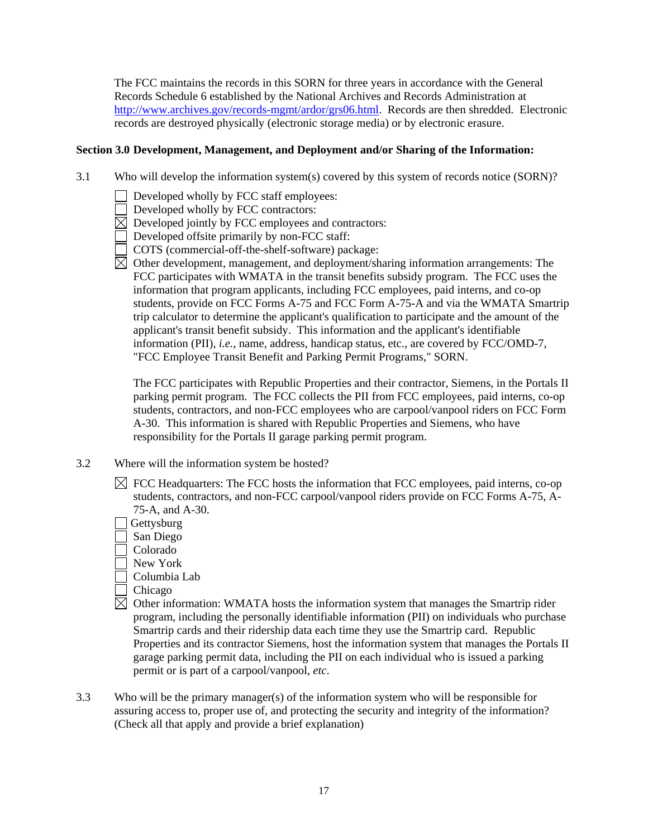The FCC maintains the records in this SORN for three years in accordance with the General Records Schedule 6 established by the National Archives and Records Administration at http://www.archives.gov/records-mgmt/ardor/grs06.html. Records are then shredded. Electronic records are destroyed physically (electronic storage media) or by electronic erasure.

#### **Section 3.0 Development, Management, and Deployment and/or Sharing of the Information:**

- 3.1 Who will develop the information system(s) covered by this system of records notice (SORN)?
	- Developed wholly by FCC staff employees:
	- Developed wholly by FCC contractors:
	- $\boxtimes$  Developed jointly by FCC employees and contractors:
	- Developed offsite primarily by non-FCC staff:
	- COTS (commercial-off-the-shelf-software) package:
	- $\overline{\boxtimes}$  Other development, management, and deployment/sharing information arrangements: The FCC participates with WMATA in the transit benefits subsidy program. The FCC uses the information that program applicants, including FCC employees, paid interns, and co-op students, provide on FCC Forms A-75 and FCC Form A-75-A and via the WMATA Smartrip trip calculator to determine the applicant's qualification to participate and the amount of the applicant's transit benefit subsidy. This information and the applicant's identifiable information (PII), *i.e.*, name, address, handicap status, etc., are covered by FCC/OMD-7, "FCC Employee Transit Benefit and Parking Permit Programs," SORN.

The FCC participates with Republic Properties and their contractor, Siemens, in the Portals II parking permit program. The FCC collects the PII from FCC employees, paid interns, co-op students, contractors, and non-FCC employees who are carpool/vanpool riders on FCC Form A-30. This information is shared with Republic Properties and Siemens, who have responsibility for the Portals II garage parking permit program.

- 3.2 Where will the information system be hosted?
	- $\boxtimes$  FCC Headquarters: The FCC hosts the information that FCC employees, paid interns, co-op students, contractors, and non-FCC carpool/vanpool riders provide on FCC Forms A-75, A-75-A, and A-30.
	- **Gettysburg**
	- San Diego
	- Colorado
	- New York
	- Columbia Lab
	- Chicago
	- $\boxtimes$  Other information: WMATA hosts the information system that manages the Smartrip rider program, including the personally identifiable information (PII) on individuals who purchase Smartrip cards and their ridership data each time they use the Smartrip card. Republic Properties and its contractor Siemens, host the information system that manages the Portals II garage parking permit data, including the PII on each individual who is issued a parking permit or is part of a carpool/vanpool, *etc*.
- 3.3 Who will be the primary manager(s) of the information system who will be responsible for assuring access to, proper use of, and protecting the security and integrity of the information? (Check all that apply and provide a brief explanation)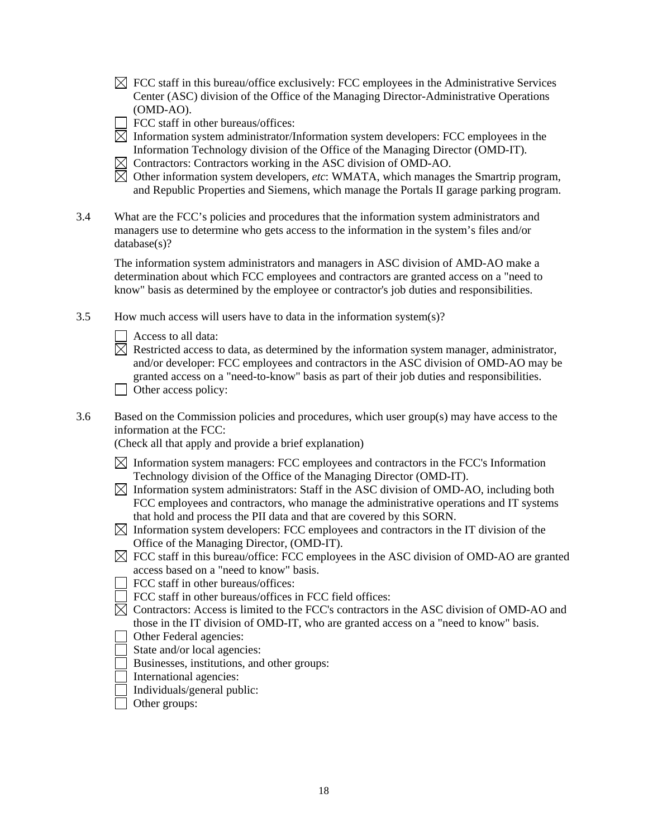- $\boxtimes$  FCC staff in this bureau/office exclusively: FCC employees in the Administrative Services Center (ASC) division of the Office of the Managing Director-Administrative Operations (OMD-AO).
- FCC staff in other bureaus/offices:
- $\overline{\boxtimes}$  Information system administrator/Information system developers: FCC employees in the Information Technology division of the Office of the Managing Director (OMD-IT).
- $\boxtimes$  Contractors: Contractors working in the ASC division of OMD-AO.
- $\boxtimes$  Other information system developers, *etc*: WMATA, which manages the Smartrip program, and Republic Properties and Siemens, which manage the Portals II garage parking program.
- 3.4 What are the FCC's policies and procedures that the information system administrators and managers use to determine who gets access to the information in the system's files and/or database(s)?

The information system administrators and managers in ASC division of AMD-AO make a determination about which FCC employees and contractors are granted access on a "need to know" basis as determined by the employee or contractor's job duties and responsibilities.

3.5 How much access will users have to data in the information system(s)?

Access to all data:

- $\boxtimes$  Restricted access to data, as determined by the information system manager, administrator, and/or developer: FCC employees and contractors in the ASC division of OMD-AO may be granted access on a "need-to-know" basis as part of their job duties and responsibilities. Other access policy:
- 3.6 Based on the Commission policies and procedures, which user group(s) may have access to the information at the FCC:

(Check all that apply and provide a brief explanation)

- $\boxtimes$  Information system managers: FCC employees and contractors in the FCC's Information Technology division of the Office of the Managing Director (OMD-IT).
- $\boxtimes$  Information system administrators: Staff in the ASC division of OMD-AO, including both FCC employees and contractors, who manage the administrative operations and IT systems that hold and process the PII data and that are covered by this SORN.
- $\boxtimes$  Information system developers: FCC employees and contractors in the IT division of the Office of the Managing Director, (OMD-IT).
- $\boxtimes$  FCC staff in this bureau/office: FCC employees in the ASC division of OMD-AO are granted access based on a "need to know" basis.
- FCC staff in other bureaus/offices:
- FCC staff in other bureaus/offices in FCC field offices:
- $\boxtimes$  Contractors: Access is limited to the FCC's contractors in the ASC division of OMD-AO and those in the IT division of OMD-IT, who are granted access on a "need to know" basis.
- Other Federal agencies:
- State and/or local agencies:
- Businesses, institutions, and other groups:
- International agencies:
- Individuals/general public:
- □ Other groups: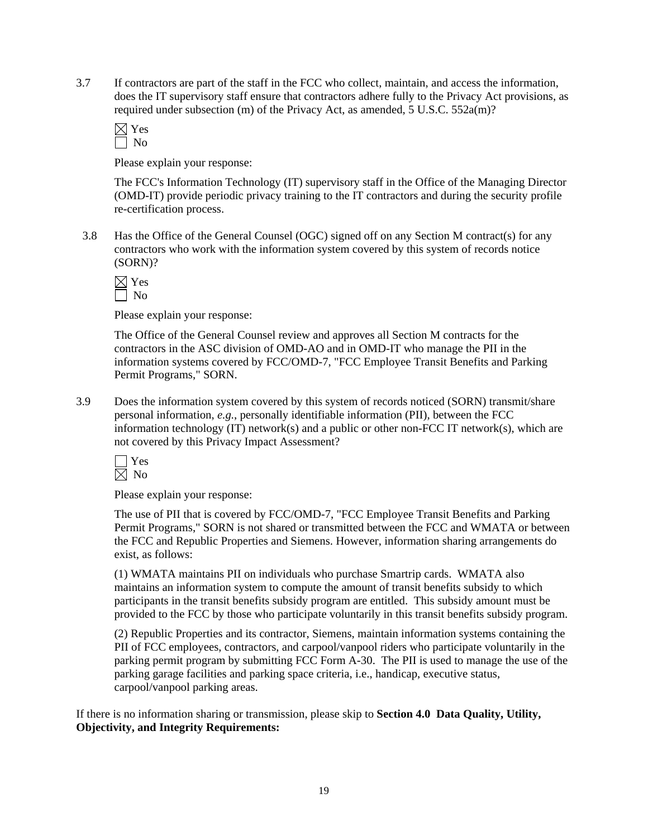3.7 If contractors are part of the staff in the FCC who collect, maintain, and access the information, does the IT supervisory staff ensure that contractors adhere fully to the Privacy Act provisions, as required under subsection (m) of the Privacy Act, as amended, 5 U.S.C. 552a(m)?

Please explain your response:

The FCC's Information Technology (IT) supervisory staff in the Office of the Managing Director (OMD-IT) provide periodic privacy training to the IT contractors and during the security profile re-certification process.

3.8 Has the Office of the General Counsel (OGC) signed off on any Section M contract(s) for any contractors who work with the information system covered by this system of records notice (SORN)?

Please explain your response:

The Office of the General Counsel review and approves all Section M contracts for the contractors in the ASC division of OMD-AO and in OMD-IT who manage the PII in the information systems covered by FCC/OMD-7, "FCC Employee Transit Benefits and Parking Permit Programs," SORN.

3.9 Does the information system covered by this system of records noticed (SORN) transmit/share personal information, *e.g.*, personally identifiable information (PII), between the FCC information technology (IT) network(s) and a public or other non-FCC IT network(s), which are not covered by this Privacy Impact Assessment?

Please explain your response:

The use of PII that is covered by FCC/OMD-7, "FCC Employee Transit Benefits and Parking Permit Programs," SORN is not shared or transmitted between the FCC and WMATA or between the FCC and Republic Properties and Siemens. However, information sharing arrangements do exist, as follows:

(1) WMATA maintains PII on individuals who purchase Smartrip cards. WMATA also maintains an information system to compute the amount of transit benefits subsidy to which participants in the transit benefits subsidy program are entitled. This subsidy amount must be provided to the FCC by those who participate voluntarily in this transit benefits subsidy program.

(2) Republic Properties and its contractor, Siemens, maintain information systems containing the PII of FCC employees, contractors, and carpool/vanpool riders who participate voluntarily in the parking permit program by submitting FCC Form A-30. The PII is used to manage the use of the parking garage facilities and parking space criteria, i.e., handicap, executive status, carpool/vanpool parking areas.

If there is no information sharing or transmission, please skip to **Section 4.0 Data Quality, Utility, Objectivity, and Integrity Requirements:**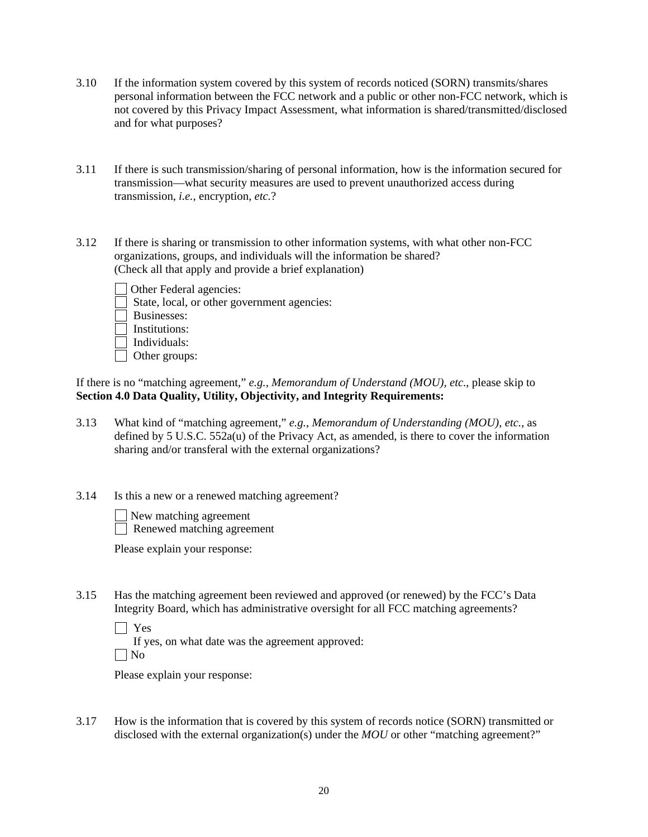- 3.10 If the information system covered by this system of records noticed (SORN) transmits/shares personal information between the FCC network and a public or other non-FCC network, which is not covered by this Privacy Impact Assessment, what information is shared/transmitted/disclosed and for what purposes?
- 3.11 If there is such transmission/sharing of personal information, how is the information secured for transmission—what security measures are used to prevent unauthorized access during transmission, *i.e.*, encryption, *etc.*?
- 3.12 If there is sharing or transmission to other information systems, with what other non-FCC organizations, groups, and individuals will the information be shared? (Check all that apply and provide a brief explanation)



- State, local, or other government agencies:
- Businesses:
- Institutions:
- $\Box$  Individuals:
- Other groups:

If there is no "matching agreement," *e.g., Memorandum of Understand (MOU), etc*., please skip to **Section 4.0 Data Quality, Utility, Objectivity, and Integrity Requirements:** 

- 3.13 What kind of "matching agreement," *e.g.*, *Memorandum of Understanding (MOU)*, *etc.*, as defined by 5 U.S.C. 552a(u) of the Privacy Act, as amended, is there to cover the information sharing and/or transferal with the external organizations?
- 3.14 Is this a new or a renewed matching agreement?

New matching agreement

Renewed matching agreement

Please explain your response:

- 3.15 Has the matching agreement been reviewed and approved (or renewed) by the FCC's Data Integrity Board, which has administrative oversight for all FCC matching agreements?
	- | Yes

 If yes, on what date was the agreement approved:  $\Box$  No

Please explain your response:

3.17 How is the information that is covered by this system of records notice (SORN) transmitted or disclosed with the external organization(s) under the *MOU* or other "matching agreement?"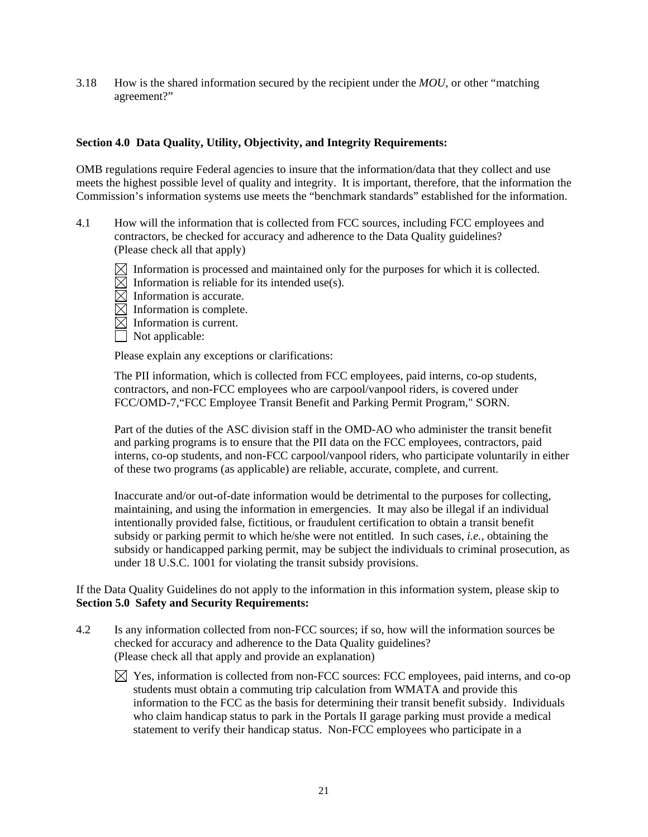3.18 How is the shared information secured by the recipient under the *MOU*, or other "matching agreement?"

### **Section 4.0 Data Quality, Utility, Objectivity, and Integrity Requirements:**

OMB regulations require Federal agencies to insure that the information/data that they collect and use meets the highest possible level of quality and integrity. It is important, therefore, that the information the Commission's information systems use meets the "benchmark standards" established for the information.

- 4.1 How will the information that is collected from FCC sources, including FCC employees and contractors, be checked for accuracy and adherence to the Data Quality guidelines? (Please check all that apply)
	- $\boxtimes$  Information is processed and maintained only for the purposes for which it is collected.
	- $\boxtimes$  Information is reliable for its intended use(s).
	- $\boxtimes$  Information is accurate.
	- $\overline{\boxtimes}$  Information is complete.
	- $\boxtimes$  Information is current.
	- $\Box$  Not applicable:

Please explain any exceptions or clarifications:

The PII information, which is collected from FCC employees, paid interns, co-op students, contractors, and non-FCC employees who are carpool/vanpool riders, is covered under FCC/OMD-7,"FCC Employee Transit Benefit and Parking Permit Program," SORN.

Part of the duties of the ASC division staff in the OMD-AO who administer the transit benefit and parking programs is to ensure that the PII data on the FCC employees, contractors, paid interns, co-op students, and non-FCC carpool/vanpool riders, who participate voluntarily in either of these two programs (as applicable) are reliable, accurate, complete, and current.

Inaccurate and/or out-of-date information would be detrimental to the purposes for collecting, maintaining, and using the information in emergencies. It may also be illegal if an individual intentionally provided false, fictitious, or fraudulent certification to obtain a transit benefit subsidy or parking permit to which he/she were not entitled. In such cases, *i.e.*, obtaining the subsidy or handicapped parking permit, may be subject the individuals to criminal prosecution, as under 18 U.S.C. 1001 for violating the transit subsidy provisions.

If the Data Quality Guidelines do not apply to the information in this information system, please skip to **Section 5.0 Safety and Security Requirements:** 

- 4.2 Is any information collected from non-FCC sources; if so, how will the information sources be checked for accuracy and adherence to the Data Quality guidelines? (Please check all that apply and provide an explanation)
	- $\boxtimes$  Yes, information is collected from non-FCC sources: FCC employees, paid interns, and co-op students must obtain a commuting trip calculation from WMATA and provide this information to the FCC as the basis for determining their transit benefit subsidy. Individuals who claim handicap status to park in the Portals II garage parking must provide a medical statement to verify their handicap status. Non-FCC employees who participate in a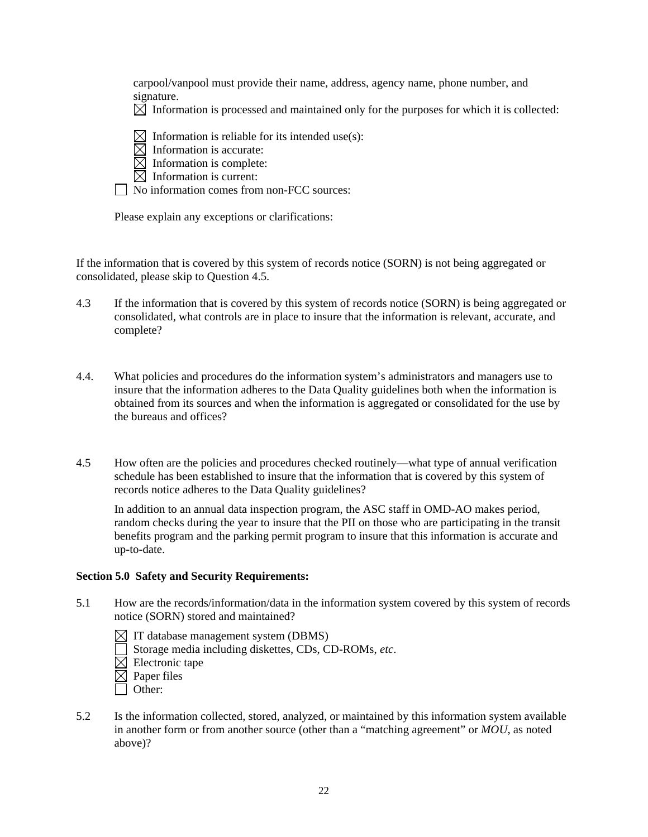carpool/vanpool must provide their name, address, agency name, phone number, and signature.

 $\boxtimes$  Information is processed and maintained only for the purposes for which it is collected:

 $\boxtimes$  Information is reliable for its intended use(s):

- $\boxtimes$  Information is accurate:
- $\boxtimes$  Information is complete:
- $\boxtimes$  Information is current:

No information comes from non-FCC sources:

Please explain any exceptions or clarifications:

If the information that is covered by this system of records notice (SORN) is not being aggregated or consolidated, please skip to Question 4.5.

- 4.3 If the information that is covered by this system of records notice (SORN) is being aggregated or consolidated, what controls are in place to insure that the information is relevant, accurate, and complete?
- 4.4. What policies and procedures do the information system's administrators and managers use to insure that the information adheres to the Data Quality guidelines both when the information is obtained from its sources and when the information is aggregated or consolidated for the use by the bureaus and offices?
- 4.5 How often are the policies and procedures checked routinely—what type of annual verification schedule has been established to insure that the information that is covered by this system of records notice adheres to the Data Quality guidelines?

 In addition to an annual data inspection program, the ASC staff in OMD-AO makes period, random checks during the year to insure that the PII on those who are participating in the transit benefits program and the parking permit program to insure that this information is accurate and up-to-date.

#### **Section 5.0 Safety and Security Requirements:**

- 5.1 How are the records/information/data in the information system covered by this system of records notice (SORN) stored and maintained?
	- $\boxtimes$  IT database management system (DBMS) Storage media including diskettes, CDs, CD-ROMs, *etc*.  $\boxtimes$  Electronic tape  $\boxtimes$  Paper files Other:
- 5.2 Is the information collected, stored, analyzed, or maintained by this information system available in another form or from another source (other than a "matching agreement" or *MOU*, as noted above)?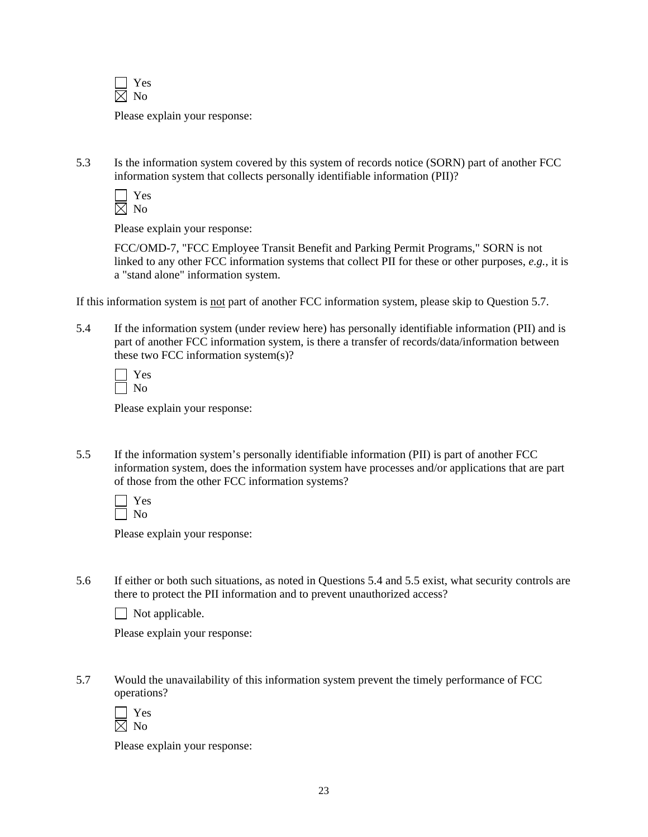

Please explain your response:

5.3 Is the information system covered by this system of records notice (SORN) part of another FCC information system that collects personally identifiable information (PII)?

| ×. |
|----|
|    |

Please explain your response:

FCC/OMD-7, "FCC Employee Transit Benefit and Parking Permit Programs," SORN is not linked to any other FCC information systems that collect PII for these or other purposes, *e.g.,* it is a "stand alone" information system.

If this information system is not part of another FCC information system, please skip to Question 5.7.

5.4 If the information system (under review here) has personally identifiable information (PII) and is part of another FCC information system, is there a transfer of records/data/information between these two FCC information system(s)?

Please explain your response:

5.5 If the information system's personally identifiable information (PII) is part of another FCC information system, does the information system have processes and/or applications that are part of those from the other FCC information systems?

Please explain your response:

5.6 If either or both such situations, as noted in Questions 5.4 and 5.5 exist, what security controls are there to protect the PII information and to prevent unauthorized access?

 $\Box$  Not applicable.

Please explain your response:

5.7 Would the unavailability of this information system prevent the timely performance of FCC operations?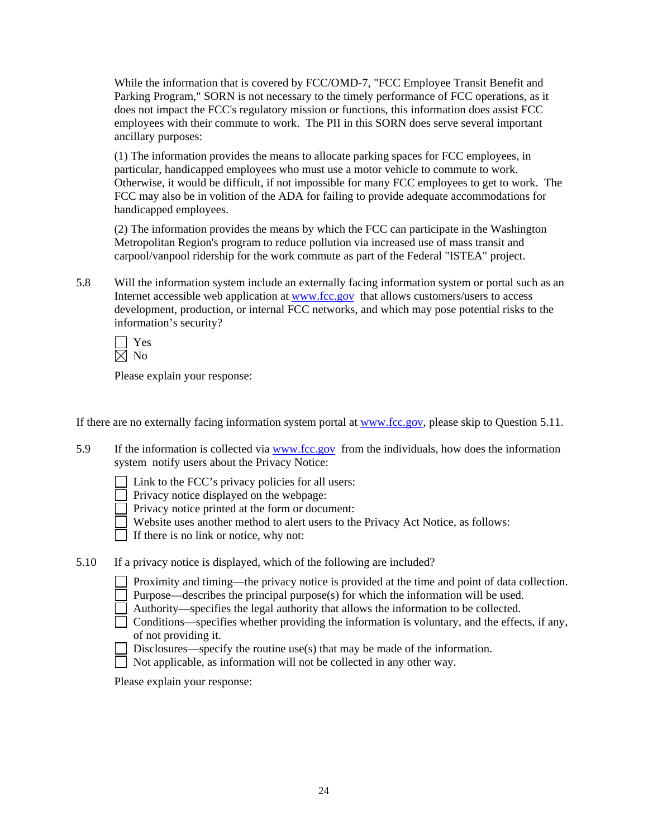While the information that is covered by FCC/OMD-7, "FCC Employee Transit Benefit and Parking Program," SORN is not necessary to the timely performance of FCC operations, as it does not impact the FCC's regulatory mission or functions, this information does assist FCC employees with their commute to work. The PII in this SORN does serve several important ancillary purposes:

(1) The information provides the means to allocate parking spaces for FCC employees, in particular, handicapped employees who must use a motor vehicle to commute to work. Otherwise, it would be difficult, if not impossible for many FCC employees to get to work. The FCC may also be in volition of the ADA for failing to provide adequate accommodations for handicapped employees.

(2) The information provides the means by which the FCC can participate in the Washington Metropolitan Region's program to reduce pollution via increased use of mass transit and carpool/vanpool ridership for the work commute as part of the Federal "ISTEA" project.

5.8 Will the information system include an externally facing information system or portal such as an Internet accessible web application at www.fcc.gov that allows customers/users to access development, production, or internal FCC networks, and which may pose potential risks to the information's security?

 Yes  $\boxtimes$  No

Please explain your response:

If there are no externally facing information system portal at www.fcc.gov, please skip to Question 5.11.

- 5.9 If the information is collected via www.fcc.gov from the individuals, how does the information system notify users about the Privacy Notice:
	- $\Box$  Link to the FCC's privacy policies for all users:
	- Privacy notice displayed on the webpage:
	- Privacy notice printed at the form or document:
	- Website uses another method to alert users to the Privacy Act Notice, as follows:

 $\Box$  If there is no link or notice, why not:

5.10 If a privacy notice is displayed, which of the following are included?

| Proximity and timing—the privacy notice is provided at the time and point of data collection. |  |  |  |  |  |  |  |  |  |
|-----------------------------------------------------------------------------------------------|--|--|--|--|--|--|--|--|--|
|-----------------------------------------------------------------------------------------------|--|--|--|--|--|--|--|--|--|

- Purpose—describes the principal purpose(s) for which the information will be used.
- Authority—specifies the legal authority that allows the information to be collected.
- $\Box$  Conditions—specifies whether providing the information is voluntary, and the effects, if any, of not providing it.
	- Disclosures—specify the routine use(s) that may be made of the information.
- Not applicable, as information will not be collected in any other way.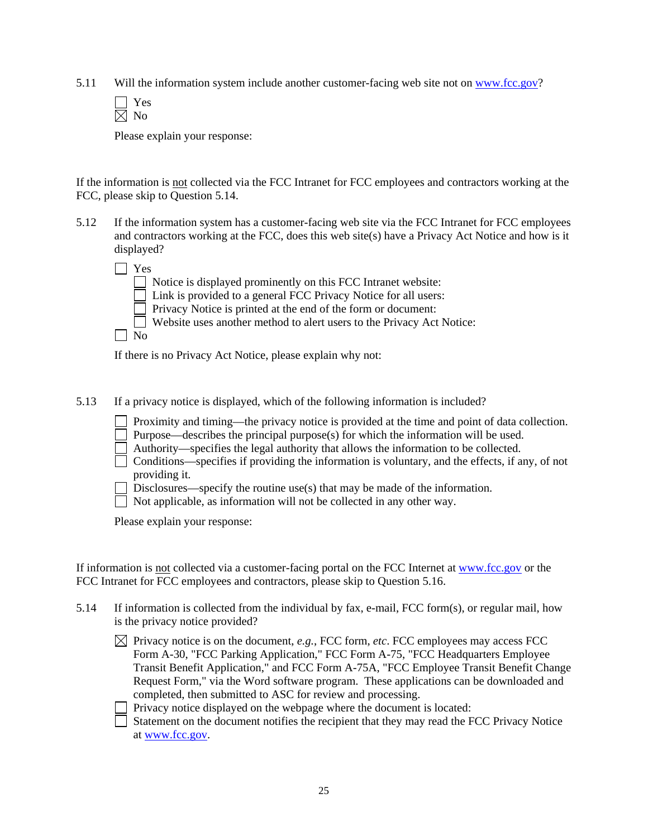5.11 Will the information system include another customer-facing web site not on www.fcc.gov?

Please explain your response:

If the information is not collected via the FCC Intranet for FCC employees and contractors working at the FCC, please skip to Question 5.14.

5.12 If the information system has a customer-facing web site via the FCC Intranet for FCC employees and contractors working at the FCC, does this web site(s) have a Privacy Act Notice and how is it displayed?

| Yes          |                                                                         |
|--------------|-------------------------------------------------------------------------|
|              | $\Box$ Notice is displayed prominently on this FCC Intranet website:    |
|              | □ Link is provided to a general FCC Privacy Notice for all users:       |
|              | Privacy Notice is printed at the end of the form or document:           |
|              | □ Website uses another method to alert users to the Privacy Act Notice: |
| $N_{\Omega}$ |                                                                         |

If there is no Privacy Act Notice, please explain why not:

5.13 If a privacy notice is displayed, which of the following information is included?

Proximity and timing—the privacy notice is provided at the time and point of data collection.

Purpose—describes the principal purpose(s) for which the information will be used.

Authority—specifies the legal authority that allows the information to be collected.

 $\Box$  Conditions—specifies if providing the information is voluntary, and the effects, if any, of not providing it.

Disclosures—specify the routine use(s) that may be made of the information.

Not applicable, as information will not be collected in any other way.

Please explain your response:

If information is not collected via a customer-facing portal on the FCC Internet at www.fcc.gov or the FCC Intranet for FCC employees and contractors, please skip to Question 5.16.

- 5.14 If information is collected from the individual by fax, e-mail, FCC form(s), or regular mail, how is the privacy notice provided?
	- $\boxtimes$  Privacy notice is on the document, *e.g.*, FCC form, *etc*. FCC employees may access FCC Form A-30, "FCC Parking Application," FCC Form A-75, "FCC Headquarters Employee Transit Benefit Application," and FCC Form A-75A, "FCC Employee Transit Benefit Change Request Form," via the Word software program. These applications can be downloaded and completed, then submitted to ASC for review and processing.

 $\Box$  Privacy notice displayed on the webpage where the document is located:

 Statement on the document notifies the recipient that they may read the FCC Privacy Notice at www.fcc.gov.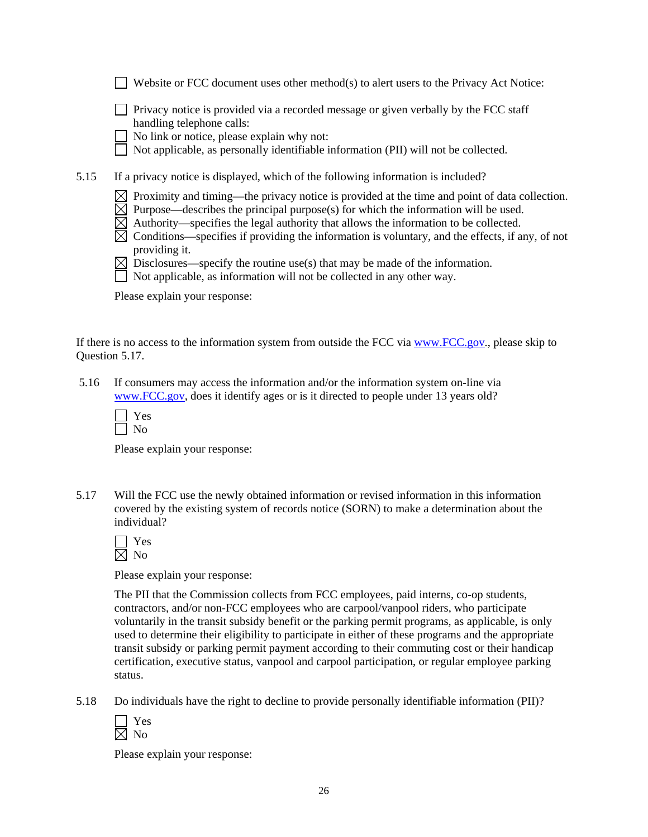|      | Privacy notice is provided via a recorded message or given verbally by the FCC staff<br>handling telephone calls:<br>No link or notice, please explain why not:<br>Not applicable, as personally identifiable information (PII) will not be collected.                                                                                                                                          |
|------|-------------------------------------------------------------------------------------------------------------------------------------------------------------------------------------------------------------------------------------------------------------------------------------------------------------------------------------------------------------------------------------------------|
| 5.15 | If a privacy notice is displayed, which of the following information is included?                                                                                                                                                                                                                                                                                                               |
|      | Proximity and timing—the privacy notice is provided at the time and point of data collection.<br>Purpose—describes the principal purpose(s) for which the information will be used.<br>Authority—specifies the legal authority that allows the information to be collected.<br>Conditions—specifies if providing the information is voluntary, and the effects, if any, of not<br>providing it. |
|      | Disclosures—specify the routine use(s) that may be made of the information.                                                                                                                                                                                                                                                                                                                     |

Website or FCC document uses other method(s) to alert users to the Privacy Act Notice:

Not applicable, as information will not be collected in any other way.

Please explain your response:

If there is no access to the information system from outside the FCC via www.FCC.gov., please skip to Question 5.17.

 5.16 If consumers may access the information and/or the information system on-line via www.FCC.gov, does it identify ages or is it directed to people under 13 years old?

Please explain your response:

5.17 Will the FCC use the newly obtained information or revised information in this information covered by the existing system of records notice (SORN) to make a determination about the individual?

 Yes  $\overline{\boxtimes}$  No

Please explain your response:

The PII that the Commission collects from FCC employees, paid interns, co-op students, contractors, and/or non-FCC employees who are carpool/vanpool riders, who participate voluntarily in the transit subsidy benefit or the parking permit programs, as applicable, is only used to determine their eligibility to participate in either of these programs and the appropriate transit subsidy or parking permit payment according to their commuting cost or their handicap certification, executive status, vanpool and carpool participation, or regular employee parking status.

5.18 Do individuals have the right to decline to provide personally identifiable information (PII)?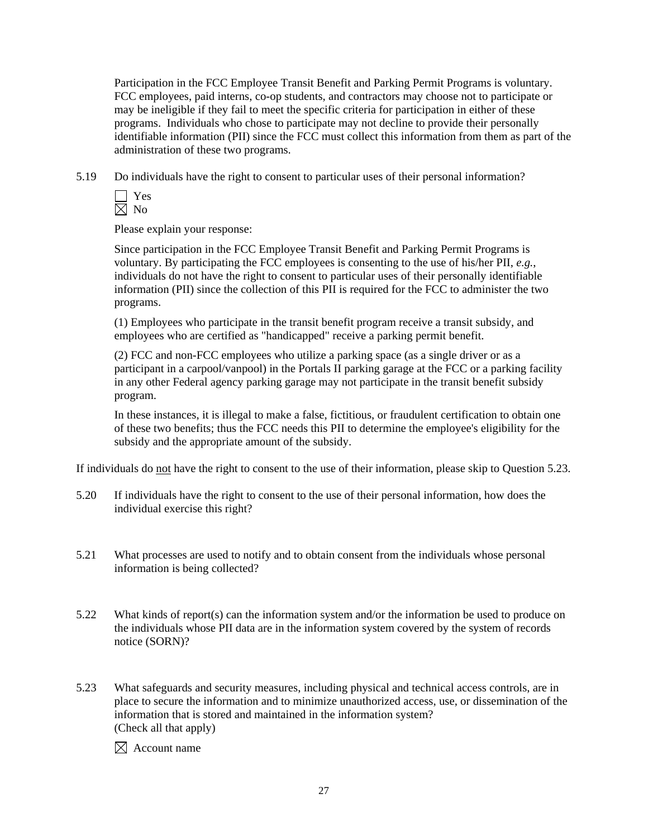Participation in the FCC Employee Transit Benefit and Parking Permit Programs is voluntary. FCC employees, paid interns, co-op students, and contractors may choose not to participate or may be ineligible if they fail to meet the specific criteria for participation in either of these programs. Individuals who chose to participate may not decline to provide their personally identifiable information (PII) since the FCC must collect this information from them as part of the administration of these two programs.

5.19 Do individuals have the right to consent to particular uses of their personal information?

Please explain your response:

Since participation in the FCC Employee Transit Benefit and Parking Permit Programs is voluntary. By participating the FCC employees is consenting to the use of his/her PII, *e.g.*, individuals do not have the right to consent to particular uses of their personally identifiable information (PII) since the collection of this PII is required for the FCC to administer the two programs.

(1) Employees who participate in the transit benefit program receive a transit subsidy, and employees who are certified as "handicapped" receive a parking permit benefit.

(2) FCC and non-FCC employees who utilize a parking space (as a single driver or as a participant in a carpool/vanpool) in the Portals II parking garage at the FCC or a parking facility in any other Federal agency parking garage may not participate in the transit benefit subsidy program.

In these instances, it is illegal to make a false, fictitious, or fraudulent certification to obtain one of these two benefits; thus the FCC needs this PII to determine the employee's eligibility for the subsidy and the appropriate amount of the subsidy.

If individuals do not have the right to consent to the use of their information, please skip to Question 5.23.

- 5.20 If individuals have the right to consent to the use of their personal information, how does the individual exercise this right?
- 5.21 What processes are used to notify and to obtain consent from the individuals whose personal information is being collected?
- 5.22 What kinds of report(s) can the information system and/or the information be used to produce on the individuals whose PII data are in the information system covered by the system of records notice (SORN)?
- 5.23 What safeguards and security measures, including physical and technical access controls, are in place to secure the information and to minimize unauthorized access, use, or dissemination of the information that is stored and maintained in the information system? (Check all that apply)

 $\boxtimes$  Account name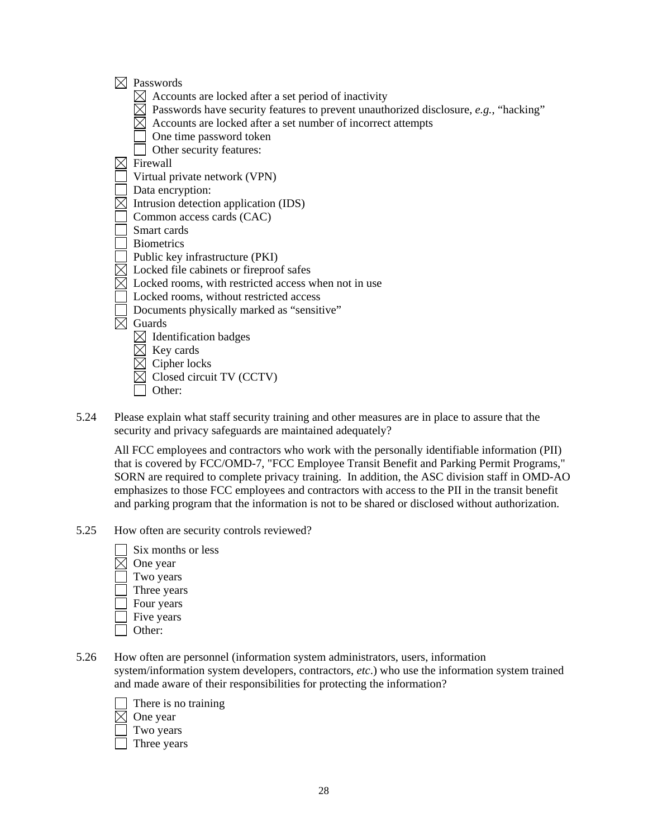- $\boxtimes$  Passwords
	- $\boxtimes$  Accounts are locked after a set period of inactivity
	- $\boxtimes$  Passwords have security features to prevent unauthorized disclosure, *e.g.*, "hacking"
	- $\boxtimes$  Accounts are locked after a set number of incorrect attempts
	- One time password token
	- Other security features:
- $\boxtimes$  Firewall
- Virtual private network (VPN)
- Data encryption:
- $\boxtimes$  Intrusion detection application (IDS)
- Common access cards (CAC)
- Smart cards
- Biometrics
- Public key infrastructure (PKI)
- $\boxtimes$  Locked file cabinets or fireproof safes
- $\boxtimes$  Locked rooms, with restricted access when not in use
- Locked rooms, without restricted access
- Documents physically marked as "sensitive"
- $\boxtimes$  Guards
	- $\boxtimes$  Identification badges
	- $\boxtimes$  Key cards
	- $\boxtimes$  Cipher locks
	- Closed circuit TV (CCTV)
	- Other:
- 5.24 Please explain what staff security training and other measures are in place to assure that the security and privacy safeguards are maintained adequately?

 All FCC employees and contractors who work with the personally identifiable information (PII) that is covered by FCC/OMD-7, "FCC Employee Transit Benefit and Parking Permit Programs," SORN are required to complete privacy training. In addition, the ASC division staff in OMD-AO emphasizes to those FCC employees and contractors with access to the PII in the transit benefit and parking program that the information is not to be shared or disclosed without authorization.

- 5.25 How often are security controls reviewed?
	- Six months or less  $\boxtimes$  One year Two years Three years Four years Five years
	- $\Box$  Other:
- 5.26 How often are personnel (information system administrators, users, information system/information system developers, contractors, *etc*.) who use the information system trained and made aware of their responsibilities for protecting the information?



- Two years
- Three years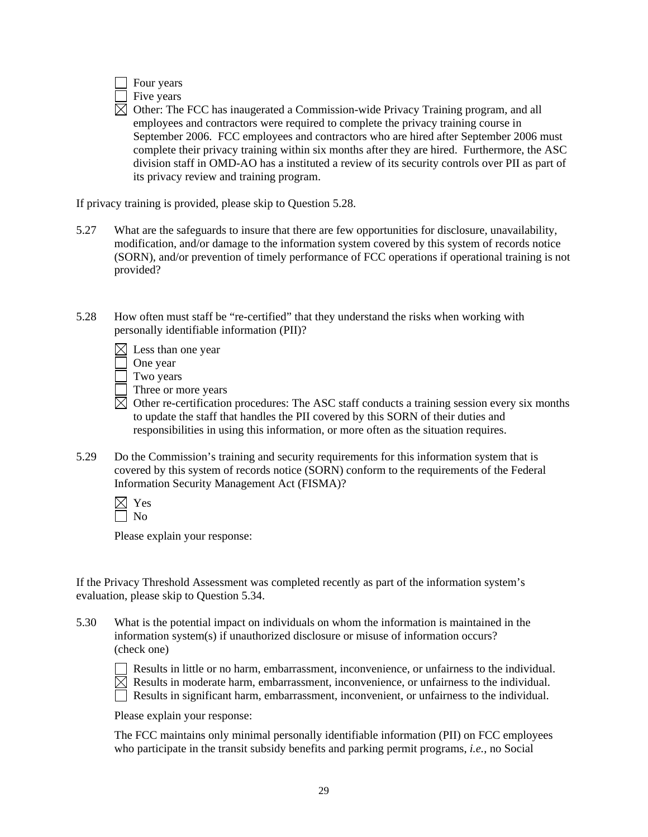

 $\boxtimes$  Other: The FCC has inaugerated a Commission-wide Privacy Training program, and all employees and contractors were required to complete the privacy training course in September 2006. FCC employees and contractors who are hired after September 2006 must complete their privacy training within six months after they are hired. Furthermore, the ASC division staff in OMD-AO has a instituted a review of its security controls over PII as part of its privacy review and training program.

If privacy training is provided, please skip to Question 5.28.

- 5.27 What are the safeguards to insure that there are few opportunities for disclosure, unavailability, modification, and/or damage to the information system covered by this system of records notice (SORN), and/or prevention of timely performance of FCC operations if operational training is not provided?
- 5.28 How often must staff be "re-certified" that they understand the risks when working with personally identifiable information (PII)?

| $\boxtimes$ Less than one year |  |  |  |  |  |
|--------------------------------|--|--|--|--|--|
|--------------------------------|--|--|--|--|--|

One year

Two years

- Three or more years
- $\boxtimes$  Other re-certification procedures: The ASC staff conducts a training session every six months to update the staff that handles the PII covered by this SORN of their duties and responsibilities in using this information, or more often as the situation requires.
- 5.29 Do the Commission's training and security requirements for this information system that is covered by this system of records notice (SORN) conform to the requirements of the Federal Information Security Management Act (FISMA)?

Please explain your response:

If the Privacy Threshold Assessment was completed recently as part of the information system's evaluation, please skip to Question 5.34.

5.30 What is the potential impact on individuals on whom the information is maintained in the information system(s) if unauthorized disclosure or misuse of information occurs? (check one)

 Results in little or no harm, embarrassment, inconvenience, or unfairness to the individual.  $\boxtimes$  Results in moderate harm, embarrassment, inconvenience, or unfairness to the individual.

Results in significant harm, embarrassment, inconvenient, or unfairness to the individual.

Please explain your response:

The FCC maintains only minimal personally identifiable information (PII) on FCC employees who participate in the transit subsidy benefits and parking permit programs, *i.e.*, no Social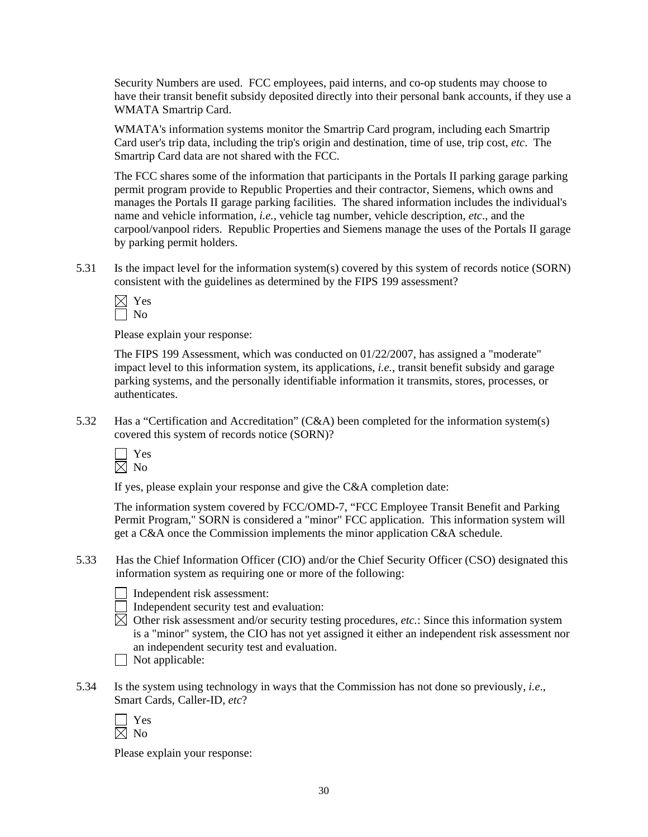Security Numbers are used. FCC employees, paid interns, and co-op students may choose to have their transit benefit subsidy deposited directly into their personal bank accounts, if they use a WMATA Smartrip Card.

WMATA's information systems monitor the Smartrip Card program, including each Smartrip Card user's trip data, including the trip's origin and destination, time of use, trip cost, *etc*. The Smartrip Card data are not shared with the FCC.

The FCC shares some of the information that participants in the Portals II parking garage parking permit program provide to Republic Properties and their contractor, Siemens, which owns and manages the Portals II garage parking facilities. The shared information includes the individual's name and vehicle information, *i.e.*, vehicle tag number, vehicle description, *etc*., and the carpool/vanpool riders. Republic Properties and Siemens manage the uses of the Portals II garage by parking permit holders.

5.31 Is the impact level for the information system(s) covered by this system of records notice (SORN) consistent with the guidelines as determined by the FIPS 199 assessment?

 Yes  $\Box$  No

Please explain your response:

The FIPS 199 Assessment, which was conducted on 01/22/2007, has assigned a "moderate" impact level to this information system, its applications, *i.e.*, transit benefit subsidy and garage parking systems, and the personally identifiable information it transmits, stores, processes, or authenticates.

5.32 Has a "Certification and Accreditation" (C&A) been completed for the information system(s) covered this system of records notice (SORN)?



If yes, please explain your response and give the C&A completion date:

The information system covered by FCC/OMD-7, "FCC Employee Transit Benefit and Parking Permit Program," SORN is considered a "minor" FCC application. This information system will get a C&A once the Commission implements the minor application C&A schedule.

5.33 Has the Chief Information Officer (CIO) and/or the Chief Security Officer (CSO) designated this information system as requiring one or more of the following:

Independent risk assessment:

- $\Box$  Independent security test and evaluation:
- $\overline{\boxtimes}$  Other risk assessment and/or security testing procedures, *etc.*: Since this information system is a "minor" system, the CIO has not yet assigned it either an independent risk assessment nor an independent security test and evaluation.



5.34 Is the system using technology in ways that the Commission has not done so previously, *i.e*., Smart Cards, Caller-ID, *etc*?

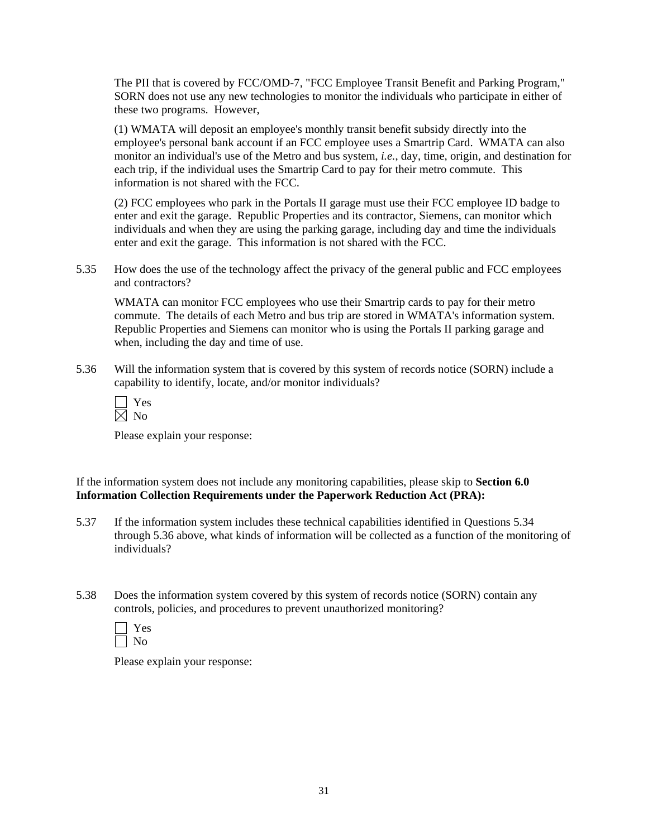The PII that is covered by FCC/OMD-7, "FCC Employee Transit Benefit and Parking Program," SORN does not use any new technologies to monitor the individuals who participate in either of these two programs. However,

(1) WMATA will deposit an employee's monthly transit benefit subsidy directly into the employee's personal bank account if an FCC employee uses a Smartrip Card. WMATA can also monitor an individual's use of the Metro and bus system, *i.e.*, day, time, origin, and destination for each trip, if the individual uses the Smartrip Card to pay for their metro commute. This information is not shared with the FCC.

(2) FCC employees who park in the Portals II garage must use their FCC employee ID badge to enter and exit the garage. Republic Properties and its contractor, Siemens, can monitor which individuals and when they are using the parking garage, including day and time the individuals enter and exit the garage. This information is not shared with the FCC.

5.35 How does the use of the technology affect the privacy of the general public and FCC employees and contractors?

WMATA can monitor FCC employees who use their Smartrip cards to pay for their metro commute. The details of each Metro and bus trip are stored in WMATA's information system. Republic Properties and Siemens can monitor who is using the Portals II parking garage and when, including the day and time of use.

5.36 Will the information system that is covered by this system of records notice (SORN) include a capability to identify, locate, and/or monitor individuals?

| Y.<br>es |
|----------|
|          |

Please explain your response:

If the information system does not include any monitoring capabilities, please skip to **Section 6.0 Information Collection Requirements under the Paperwork Reduction Act (PRA):** 

- 5.37 If the information system includes these technical capabilities identified in Questions 5.34 through 5.36 above, what kinds of information will be collected as a function of the monitoring of individuals?
- 5.38 Does the information system covered by this system of records notice (SORN) contain any controls, policies, and procedures to prevent unauthorized monitoring?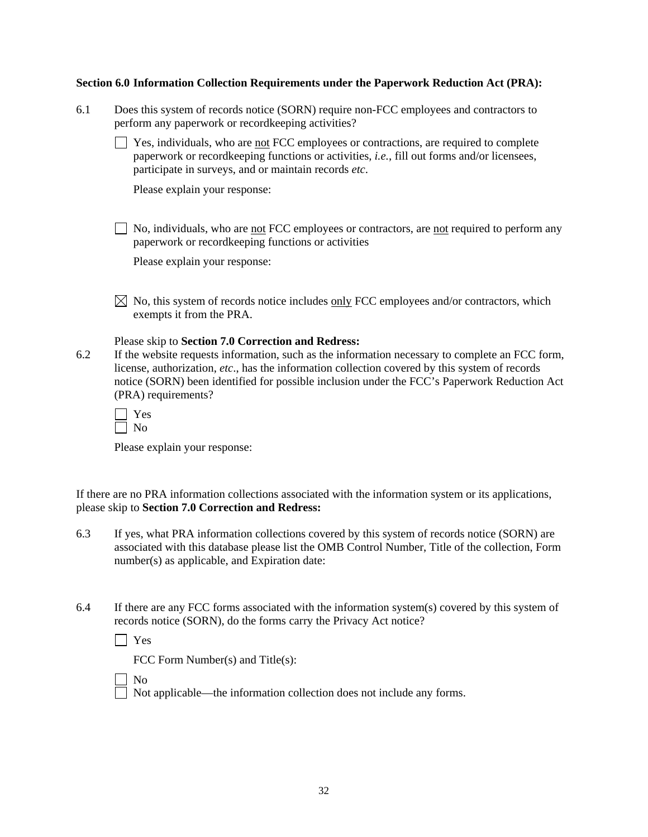#### **Section 6.0 Information Collection Requirements under the Paperwork Reduction Act (PRA):**

| 6.1 | Does this system of records notice (SORN) require non-FCC employees and contractors to |
|-----|----------------------------------------------------------------------------------------|
|     | perform any paperwork or record keeping activities?                                    |

 $\Box$  Yes, individuals, who are <u>not</u> FCC employees or contractions, are required to complete paperwork or recordkeeping functions or activities, *i.e.*, fill out forms and/or licensees, participate in surveys, and or maintain records *etc*.

Please explain your response:

 $\Box$  No, individuals, who are not FCC employees or contractors, are not required to perform any paperwork or recordkeeping functions or activities

Please explain your response:

 $\boxtimes$  No, this system of records notice includes <u>only</u> FCC employees and/or contractors, which exempts it from the PRA.

Please skip to **Section 7.0 Correction and Redress:** 

6.2 If the website requests information, such as the information necessary to complete an FCC form, license, authorization, *etc*., has the information collection covered by this system of records notice (SORN) been identified for possible inclusion under the FCC's Paperwork Reduction Act (PRA) requirements?

Please explain your response:

If there are no PRA information collections associated with the information system or its applications, please skip to **Section 7.0 Correction and Redress:**

- 6.3 If yes, what PRA information collections covered by this system of records notice (SORN) are associated with this database please list the OMB Control Number, Title of the collection, Form number(s) as applicable, and Expiration date:
- 6.4 If there are any FCC forms associated with the information system(s) covered by this system of records notice (SORN), do the forms carry the Privacy Act notice?

Yes

FCC Form Number(s) and Title(s):

No

Not applicable—the information collection does not include any forms.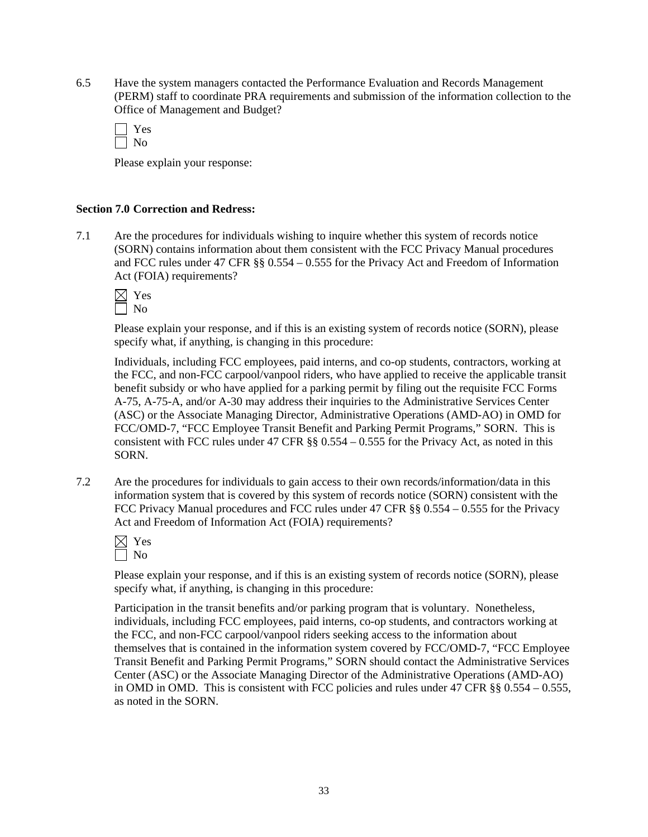6.5 Have the system managers contacted the Performance Evaluation and Records Management (PERM) staff to coordinate PRA requirements and submission of the information collection to the Office of Management and Budget?

| c |
|---|
|   |

Please explain your response:

#### **Section 7.0 Correction and Redress:**

7.1 Are the procedures for individuals wishing to inquire whether this system of records notice (SORN) contains information about them consistent with the FCC Privacy Manual procedures and FCC rules under 47 CFR §§ 0.554 – 0.555 for the Privacy Act and Freedom of Information Act (FOIA) requirements?

| Ń.<br>− |
|---------|
|         |

Please explain your response, and if this is an existing system of records notice (SORN), please specify what, if anything, is changing in this procedure:

 Individuals, including FCC employees, paid interns, and co-op students, contractors, working at the FCC, and non-FCC carpool/vanpool riders, who have applied to receive the applicable transit benefit subsidy or who have applied for a parking permit by filing out the requisite FCC Forms A-75, A-75-A, and/or A-30 may address their inquiries to the Administrative Services Center (ASC) or the Associate Managing Director, Administrative Operations (AMD-AO) in OMD for FCC/OMD-7, "FCC Employee Transit Benefit and Parking Permit Programs," SORN. This is consistent with FCC rules under 47 CFR §§ 0.554 – 0.555 for the Privacy Act, as noted in this SORN.

7.2 Are the procedures for individuals to gain access to their own records/information/data in this information system that is covered by this system of records notice (SORN) consistent with the FCC Privacy Manual procedures and FCC rules under 47 CFR §§ 0.554 – 0.555 for the Privacy Act and Freedom of Information Act (FOIA) requirements?

| v.<br>−<br>۰ |
|--------------|
| C.           |

Please explain your response, and if this is an existing system of records notice (SORN), please specify what, if anything, is changing in this procedure:

Participation in the transit benefits and/or parking program that is voluntary. Nonetheless, individuals, including FCC employees, paid interns, co-op students, and contractors working at the FCC, and non-FCC carpool/vanpool riders seeking access to the information about themselves that is contained in the information system covered by FCC/OMD-7, "FCC Employee Transit Benefit and Parking Permit Programs," SORN should contact the Administrative Services Center (ASC) or the Associate Managing Director of the Administrative Operations (AMD-AO) in OMD in OMD. This is consistent with FCC policies and rules under 47 CFR  $\S$ § 0.554 – 0.555, as noted in the SORN.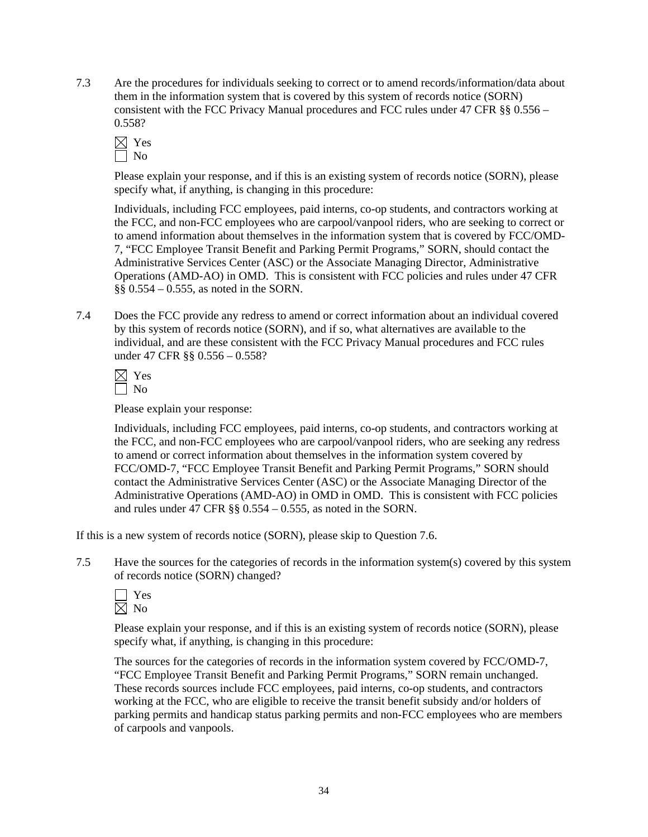7.3 Are the procedures for individuals seeking to correct or to amend records/information/data about them in the information system that is covered by this system of records notice (SORN) consistent with the FCC Privacy Manual procedures and FCC rules under 47 CFR §§ 0.556 – 0.558?



Please explain your response, and if this is an existing system of records notice (SORN), please specify what, if anything, is changing in this procedure:

Individuals, including FCC employees, paid interns, co-op students, and contractors working at the FCC, and non-FCC employees who are carpool/vanpool riders, who are seeking to correct or to amend information about themselves in the information system that is covered by FCC/OMD-7, "FCC Employee Transit Benefit and Parking Permit Programs," SORN, should contact the Administrative Services Center (ASC) or the Associate Managing Director, Administrative Operations (AMD-AO) in OMD. This is consistent with FCC policies and rules under 47 CFR §§ 0.554 – 0.555, as noted in the SORN.

7.4 Does the FCC provide any redress to amend or correct information about an individual covered by this system of records notice (SORN), and if so, what alternatives are available to the individual, and are these consistent with the FCC Privacy Manual procedures and FCC rules under 47 CFR §§ 0.556 – 0.558?

Please explain your response:

 Individuals, including FCC employees, paid interns, co-op students, and contractors working at the FCC, and non-FCC employees who are carpool/vanpool riders, who are seeking any redress to amend or correct information about themselves in the information system covered by FCC/OMD-7, "FCC Employee Transit Benefit and Parking Permit Programs," SORN should contact the Administrative Services Center (ASC) or the Associate Managing Director of the Administrative Operations (AMD-AO) in OMD in OMD. This is consistent with FCC policies and rules under 47 CFR §§ 0.554 – 0.555, as noted in the SORN.

If this is a new system of records notice (SORN), please skip to Question 7.6.

7.5 Have the sources for the categories of records in the information system(s) covered by this system of records notice (SORN) changed?

Please explain your response, and if this is an existing system of records notice (SORN), please specify what, if anything, is changing in this procedure:

 The sources for the categories of records in the information system covered by FCC/OMD-7, "FCC Employee Transit Benefit and Parking Permit Programs," SORN remain unchanged. These records sources include FCC employees, paid interns, co-op students, and contractors working at the FCC, who are eligible to receive the transit benefit subsidy and/or holders of parking permits and handicap status parking permits and non-FCC employees who are members of carpools and vanpools.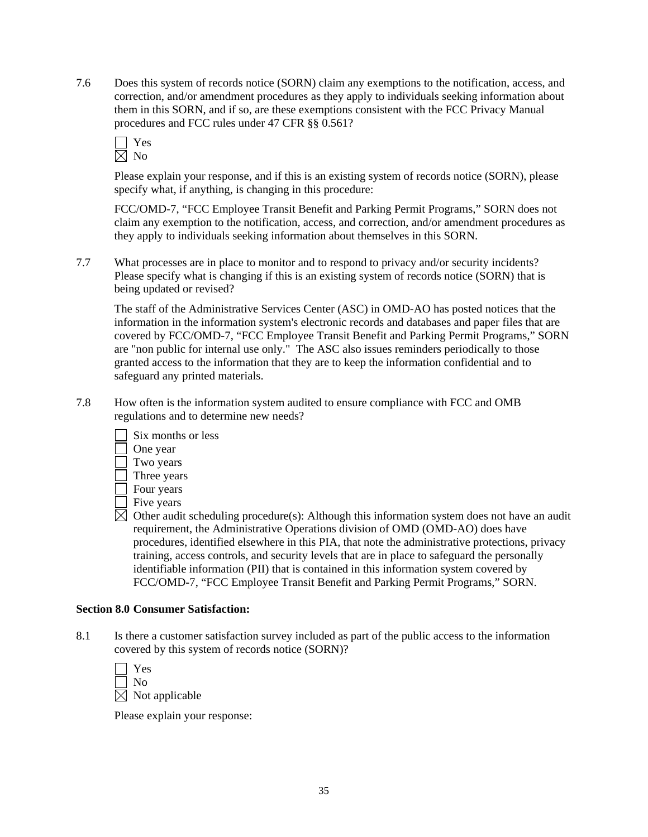7.6 Does this system of records notice (SORN) claim any exemptions to the notification, access, and correction, and/or amendment procedures as they apply to individuals seeking information about them in this SORN, and if so, are these exemptions consistent with the FCC Privacy Manual procedures and FCC rules under 47 CFR §§ 0.561?

Please explain your response, and if this is an existing system of records notice (SORN), please specify what, if anything, is changing in this procedure:

 FCC/OMD-7, "FCC Employee Transit Benefit and Parking Permit Programs," SORN does not claim any exemption to the notification, access, and correction, and/or amendment procedures as they apply to individuals seeking information about themselves in this SORN.

7.7 What processes are in place to monitor and to respond to privacy and/or security incidents? Please specify what is changing if this is an existing system of records notice (SORN) that is being updated or revised?

 The staff of the Administrative Services Center (ASC) in OMD-AO has posted notices that the information in the information system's electronic records and databases and paper files that are covered by FCC/OMD-7, "FCC Employee Transit Benefit and Parking Permit Programs," SORN are "non public for internal use only." The ASC also issues reminders periodically to those granted access to the information that they are to keep the information confidential and to safeguard any printed materials.

7.8 How often is the information system audited to ensure compliance with FCC and OMB regulations and to determine new needs?



- Three years
- Four years
- Five years

 $\boxtimes$  Other audit scheduling procedure(s): Although this information system does not have an audit requirement, the Administrative Operations division of OMD (OMD-AO) does have procedures, identified elsewhere in this PIA, that note the administrative protections, privacy training, access controls, and security levels that are in place to safeguard the personally identifiable information (PII) that is contained in this information system covered by FCC/OMD-7, "FCC Employee Transit Benefit and Parking Permit Programs," SORN.

#### **Section 8.0 Consumer Satisfaction:**

8.1 Is there a customer satisfaction survey included as part of the public access to the information covered by this system of records notice (SORN)?

| $\Box$ | Yes                        |
|--------|----------------------------|
|        | $\Box$ No                  |
|        | $\boxtimes$ Not applicable |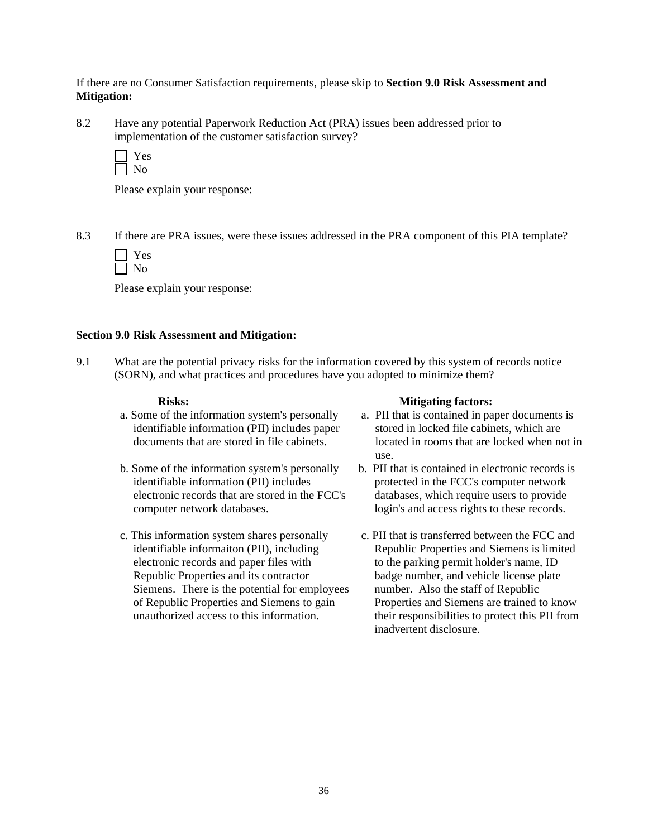If there are no Consumer Satisfaction requirements, please skip to **Section 9.0 Risk Assessment and Mitigation:** 

8.2 Have any potential Paperwork Reduction Act (PRA) issues been addressed prior to implementation of the customer satisfaction survey?

Please explain your response:

8.3 If there are PRA issues, were these issues addressed in the PRA component of this PIA template?

Please explain your response:

#### **Section 9.0 Risk Assessment and Mitigation:**

9.1 What are the potential privacy risks for the information covered by this system of records notice (SORN), and what practices and procedures have you adopted to minimize them?

- a. Some of the information system's personally identifiable information (PII) includes paper documents that are stored in file cabinets.
- b. Some of the information system's personally identifiable information (PII) includes electronic records that are stored in the FCC's computer network databases.
- c. This information system shares personally identifiable informaiton (PII), including electronic records and paper files with Republic Properties and its contractor Siemens. There is the potential for employees of Republic Properties and Siemens to gain unauthorized access to this information.

#### Risks: Mitigating factors:

- a. PII that is contained in paper documents is stored in locked file cabinets, which are located in rooms that are locked when not in use.
- b. PII that is contained in electronic records is protected in the FCC's computer network databases, which require users to provide login's and access rights to these records.
- c. PII that is transferred between the FCC and Republic Properties and Siemens is limited to the parking permit holder's name, ID badge number, and vehicle license plate number. Also the staff of Republic Properties and Siemens are trained to know their responsibilities to protect this PII from inadvertent disclosure.